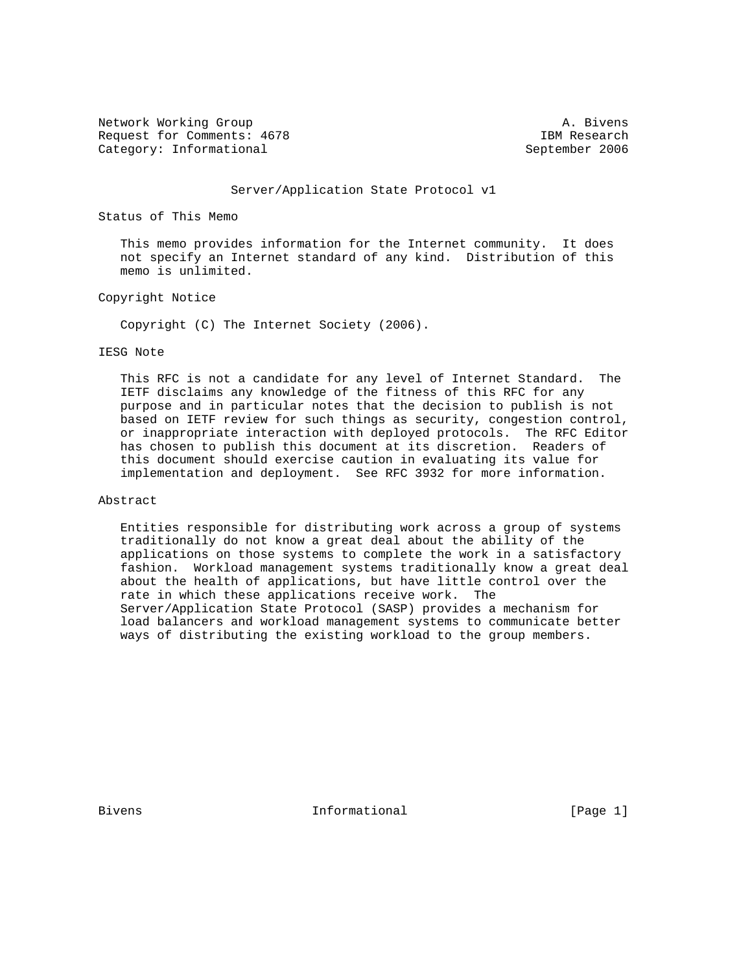Network Working Group and the set of the set of the set of the set of the set of the set of the set of the set of the set of the set of the set of the set of the set of the set of the set of the set of the set of the set o Request for Comments: 4678 IBM Research Category: Informational September 2006

#### Server/Application State Protocol v1

## Status of This Memo

 This memo provides information for the Internet community. It does not specify an Internet standard of any kind. Distribution of this memo is unlimited.

## Copyright Notice

Copyright (C) The Internet Society (2006).

## IESG Note

 This RFC is not a candidate for any level of Internet Standard. The IETF disclaims any knowledge of the fitness of this RFC for any purpose and in particular notes that the decision to publish is not based on IETF review for such things as security, congestion control, or inappropriate interaction with deployed protocols. The RFC Editor has chosen to publish this document at its discretion. Readers of this document should exercise caution in evaluating its value for implementation and deployment. See RFC 3932 for more information.

### Abstract

 Entities responsible for distributing work across a group of systems traditionally do not know a great deal about the ability of the applications on those systems to complete the work in a satisfactory fashion. Workload management systems traditionally know a great deal about the health of applications, but have little control over the rate in which these applications receive work. The Server/Application State Protocol (SASP) provides a mechanism for load balancers and workload management systems to communicate better ways of distributing the existing workload to the group members.

Bivens **Informational Informational** [Page 1]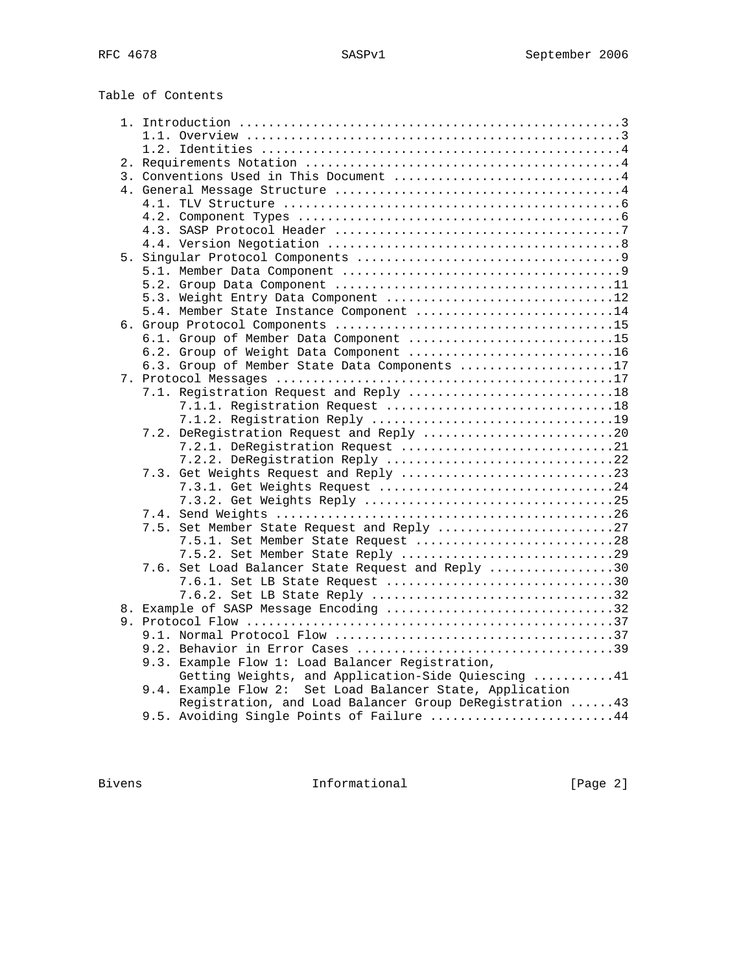Table of Contents

| 3. Conventions Used in This Document 4                    |
|-----------------------------------------------------------|
|                                                           |
|                                                           |
|                                                           |
|                                                           |
|                                                           |
|                                                           |
|                                                           |
|                                                           |
| 5.3. Weight Entry Data Component 12                       |
| 5.4. Member State Instance Component 14                   |
|                                                           |
| 6.1. Group of Member Data Component 15                    |
| 6.2. Group of Weight Data Component 16                    |
| 6.3. Group of Member State Data Components 17             |
|                                                           |
|                                                           |
| 7.1. Registration Request and Reply 18                    |
| 7.1.1. Registration Request 18                            |
|                                                           |
| 7.2. DeRegistration Request and Reply 20                  |
| 7.2.1. DeRegistration Request 21                          |
| 7.2.2. DeRegistration Reply 22                            |
|                                                           |
| 7.3.1. Get Weights Request 24                             |
|                                                           |
|                                                           |
| 7.5. Set Member State Request and Reply 27                |
| 7.5.1. Set Member State Request 28                        |
|                                                           |
| 7.6. Set Load Balancer State Request and Reply 30         |
| 7.6.1. Set LB State Request 30                            |
| 7.6.2. Set LB State Reply 32                              |
| 8. Example of SASP Message Encoding 32                    |
|                                                           |
|                                                           |
|                                                           |
| 9.3. Example Flow 1: Load Balancer Registration,          |
| Getting Weights, and Application-Side Quiescing 41        |
| 9.4. Example Flow 2: Set Load Balancer State, Application |
| Registration, and Load Balancer Group DeRegistration  43  |
| 9.5. Avoiding Single Points of Failure 44                 |

Bivens 1nformational [Page 2]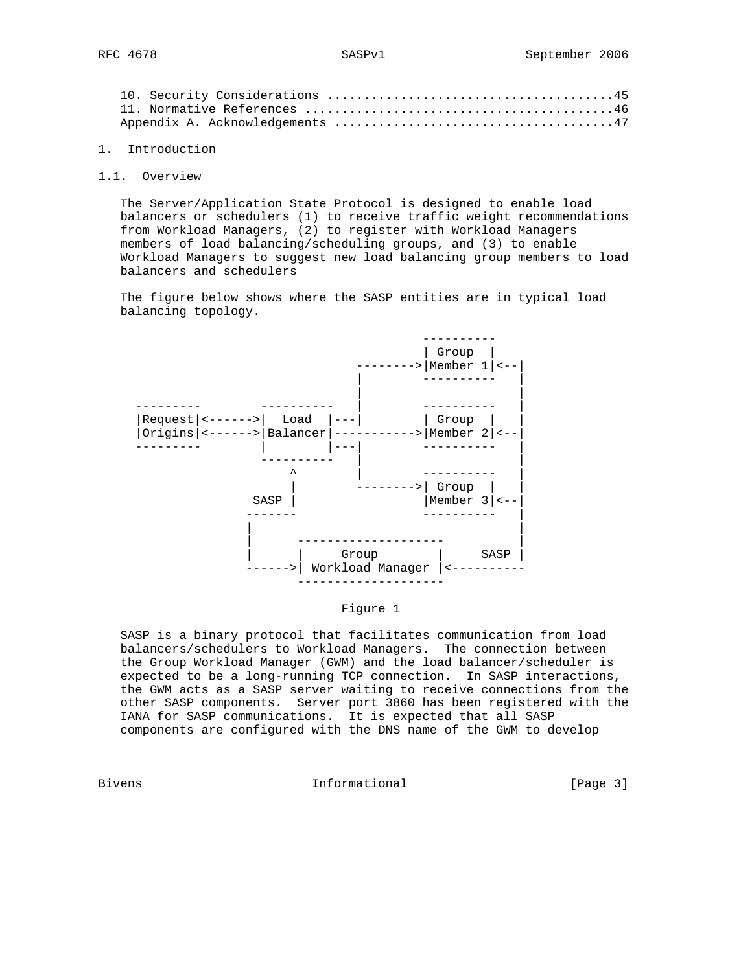## 1. Introduction

#### 1.1. Overview

 The Server/Application State Protocol is designed to enable load balancers or schedulers (1) to receive traffic weight recommendations from Workload Managers, (2) to register with Workload Managers members of load balancing/scheduling groups, and (3) to enable Workload Managers to suggest new load balancing group members to load balancers and schedulers

 The figure below shows where the SASP entities are in typical load balancing topology.



Figure 1

 SASP is a binary protocol that facilitates communication from load balancers/schedulers to Workload Managers. The connection between the Group Workload Manager (GWM) and the load balancer/scheduler is expected to be a long-running TCP connection. In SASP interactions, the GWM acts as a SASP server waiting to receive connections from the other SASP components. Server port 3860 has been registered with the IANA for SASP communications. It is expected that all SASP components are configured with the DNS name of the GWM to develop

Bivens **Informational Informational** [Page 3]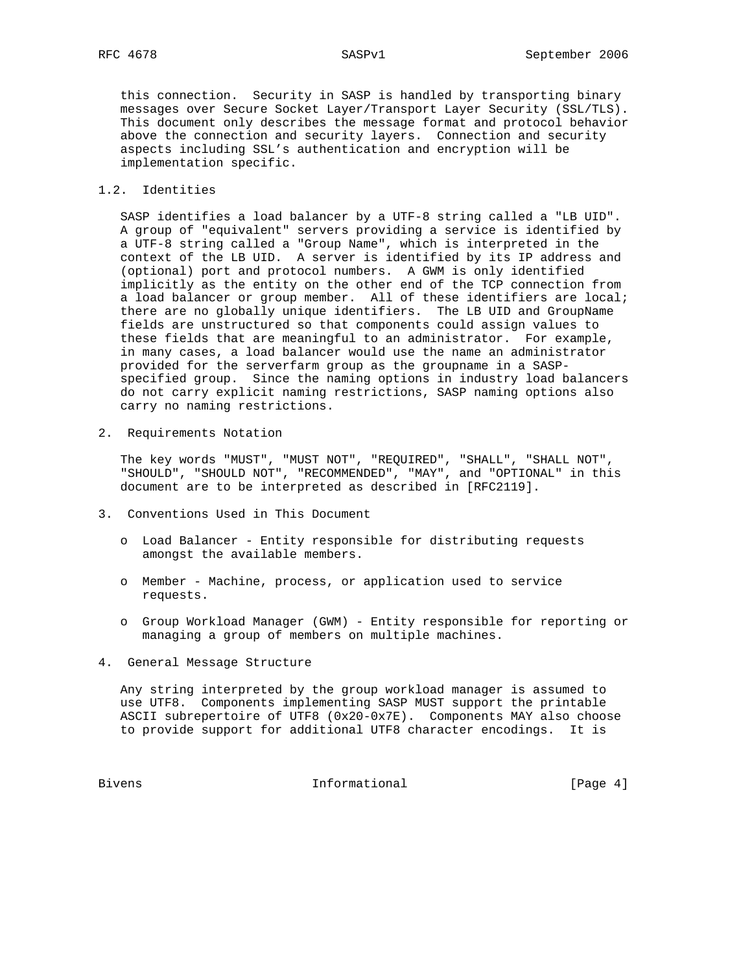this connection. Security in SASP is handled by transporting binary messages over Secure Socket Layer/Transport Layer Security (SSL/TLS). This document only describes the message format and protocol behavior above the connection and security layers. Connection and security aspects including SSL's authentication and encryption will be implementation specific.

## 1.2. Identities

 SASP identifies a load balancer by a UTF-8 string called a "LB UID". A group of "equivalent" servers providing a service is identified by a UTF-8 string called a "Group Name", which is interpreted in the context of the LB UID. A server is identified by its IP address and (optional) port and protocol numbers. A GWM is only identified implicitly as the entity on the other end of the TCP connection from a load balancer or group member. All of these identifiers are local; there are no globally unique identifiers. The LB UID and GroupName fields are unstructured so that components could assign values to these fields that are meaningful to an administrator. For example, in many cases, a load balancer would use the name an administrator provided for the serverfarm group as the groupname in a SASP specified group. Since the naming options in industry load balancers do not carry explicit naming restrictions, SASP naming options also carry no naming restrictions.

2. Requirements Notation

 The key words "MUST", "MUST NOT", "REQUIRED", "SHALL", "SHALL NOT", "SHOULD", "SHOULD NOT", "RECOMMENDED", "MAY", and "OPTIONAL" in this document are to be interpreted as described in [RFC2119].

- 3. Conventions Used in This Document
	- o Load Balancer Entity responsible for distributing requests amongst the available members.
	- o Member Machine, process, or application used to service requests.
	- o Group Workload Manager (GWM) Entity responsible for reporting or managing a group of members on multiple machines.
- 4. General Message Structure

 Any string interpreted by the group workload manager is assumed to use UTF8. Components implementing SASP MUST support the printable ASCII subrepertoire of UTF8 (0x20-0x7E). Components MAY also choose to provide support for additional UTF8 character encodings. It is

Bivens 1nformational 1992 [Page 4]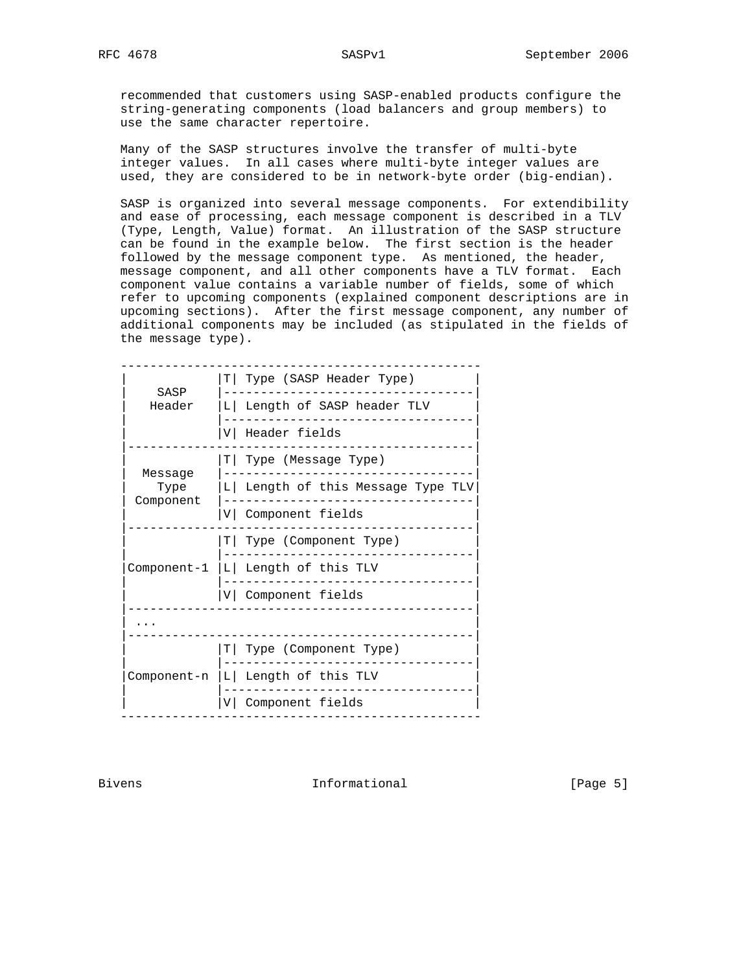recommended that customers using SASP-enabled products configure the string-generating components (load balancers and group members) to use the same character repertoire.

 Many of the SASP structures involve the transfer of multi-byte integer values. In all cases where multi-byte integer values are used, they are considered to be in network-byte order (big-endian).

 SASP is organized into several message components. For extendibility and ease of processing, each message component is described in a TLV (Type, Length, Value) format. An illustration of the SASP structure can be found in the example below. The first section is the header followed by the message component type. As mentioned, the header, message component, and all other components have a TLV format. Each component value contains a variable number of fields, some of which refer to upcoming components (explained component descriptions are in upcoming sections). After the first message component, any number of additional components may be included (as stipulated in the fields of the message type).

| SASP            | T   Type (SASP Header Type)       |
|-----------------|-----------------------------------|
| Header          | L Length of SASP header TLV       |
|                 | V Header fields                   |
|                 | T   Type (Message Type)           |
| Message<br>Type | L Length of this Message Type TLV |
| Component       | V Component fields                |
|                 | T   Type (Component Type)         |
| Component-1     | L  Length of this TLV             |
|                 | V Component fields                |
|                 |                                   |
|                 | T  Type (Component Type)          |
| Component-n     | L Length of this TLV              |
|                 |                                   |

Bivens **Informational Informational** [Page 5]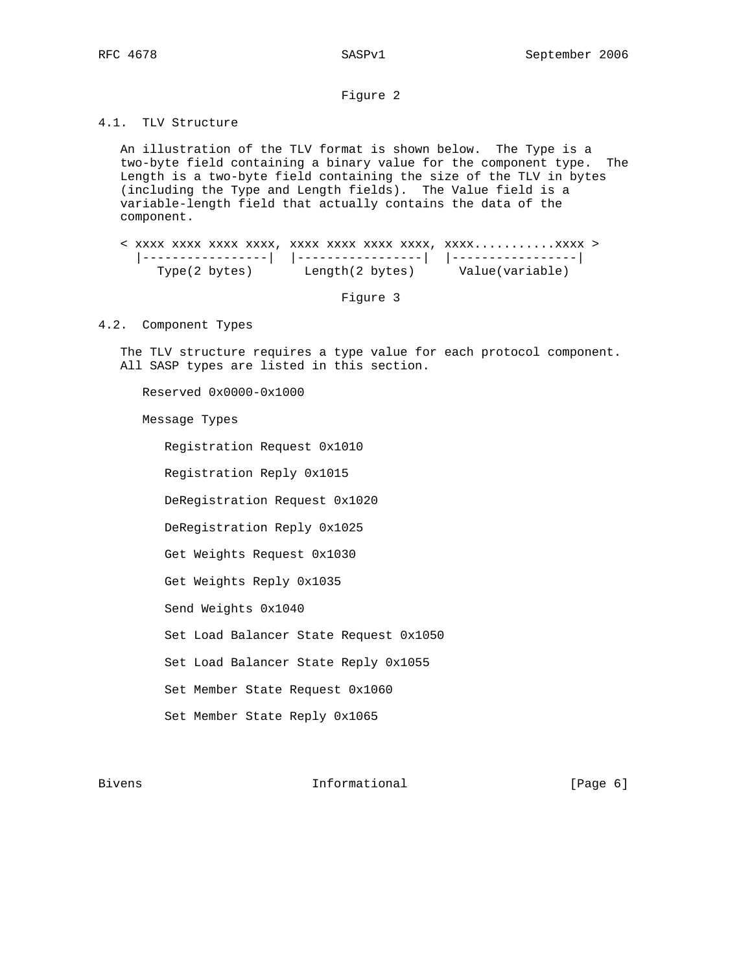## Figure 2

# 4.1. TLV Structure

 An illustration of the TLV format is shown below. The Type is a two-byte field containing a binary value for the component type. The Length is a two-byte field containing the size of the TLV in bytes (including the Type and Length fields). The Value field is a variable-length field that actually contains the data of the component.

 < xxxx xxxx xxxx xxxx, xxxx xxxx xxxx xxxx, xxxx...........xxxx > |-----------------| |-----------------| |-----------------|  $Type(2 bytes)$  Length(2 bytes) Value(variable)

Figure 3

## 4.2. Component Types

 The TLV structure requires a type value for each protocol component. All SASP types are listed in this section.

Reserved 0x0000-0x1000

Message Types

 Registration Request 0x1010 Registration Reply 0x1015 DeRegistration Request 0x1020 DeRegistration Reply 0x1025 Get Weights Request 0x1030 Get Weights Reply 0x1035 Send Weights 0x1040 Set Load Balancer State Request 0x1050 Set Load Balancer State Reply 0x1055 Set Member State Request 0x1060 Set Member State Reply 0x1065

Bivens **Example 2** Informational **Example 2** [Page 6]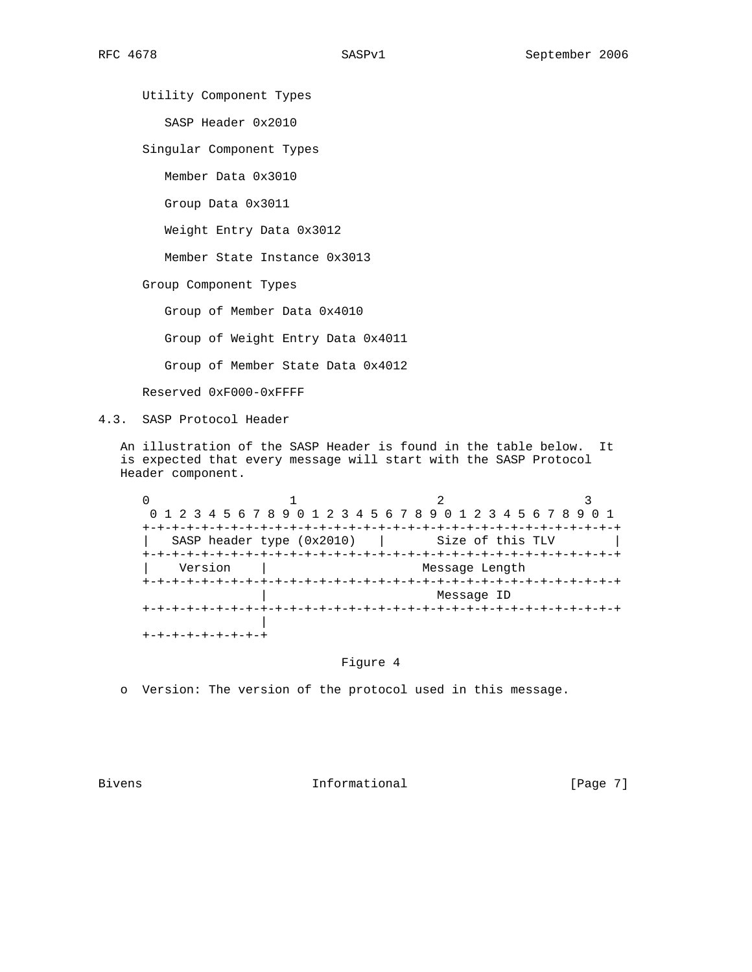Utility Component Types

SASP Header 0x2010

Singular Component Types

Member Data 0x3010

Group Data 0x3011

Weight Entry Data 0x3012

Member State Instance 0x3013

Group Component Types

Group of Member Data 0x4010

Group of Weight Entry Data 0x4011

Group of Member State Data 0x4012

Reserved 0xF000-0xFFFF

4.3. SASP Protocol Header

 An illustration of the SASP Header is found in the table below. It is expected that every message will start with the SASP Protocol Header component.

 $0$  and  $1$  and  $2$  3 0 1 2 3 4 5 6 7 8 9 0 1 2 3 4 5 6 7 8 9 0 1 2 3 4 5 6 7 8 9 0 1 +-+-+-+-+-+-+-+-+-+-+-+-+-+-+-+-+-+-+-+-+-+-+-+-+-+-+-+-+-+-+-+-+ SASP header type (0x2010) | Size of this TLV +-+-+-+-+-+-+-+-+-+-+-+-+-+-+-+-+-+-+-+-+-+-+-+-+-+-+-+-+-+-+-+-+ Version | Message Length +-+-+-+-+-+-+-+-+-+-+-+-+-+-+-+-+-+-+-+-+-+-+-+-+-+-+-+-+-+-+-+-+ | Message ID +-+-+-+-+-+-+-+-+-+-+-+-+-+-+-+-+-+-+-+-+-+-+-+-+-+-+-+-+-+-+-+-+ | +-+-+-+-+-+-+-+-+

## Figure 4

o Version: The version of the protocol used in this message.

Bivens **Informational Informational** [Page 7]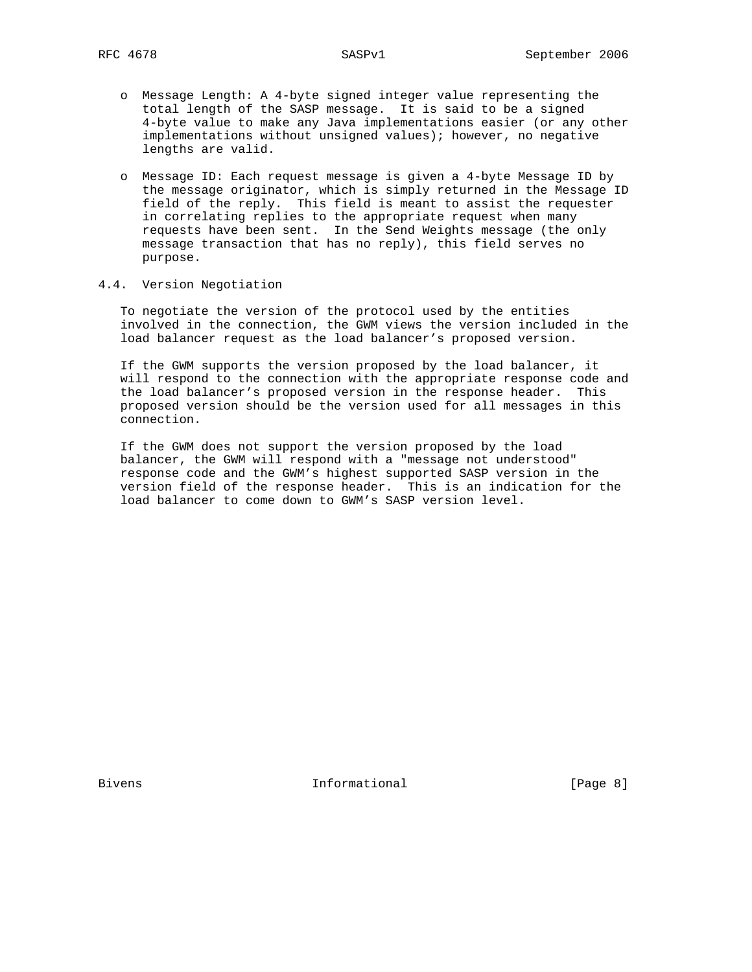- o Message Length: A 4-byte signed integer value representing the total length of the SASP message. It is said to be a signed 4-byte value to make any Java implementations easier (or any other implementations without unsigned values); however, no negative lengths are valid.
- o Message ID: Each request message is given a 4-byte Message ID by the message originator, which is simply returned in the Message ID field of the reply. This field is meant to assist the requester in correlating replies to the appropriate request when many requests have been sent. In the Send Weights message (the only message transaction that has no reply), this field serves no purpose.

# 4.4. Version Negotiation

 To negotiate the version of the protocol used by the entities involved in the connection, the GWM views the version included in the load balancer request as the load balancer's proposed version.

 If the GWM supports the version proposed by the load balancer, it will respond to the connection with the appropriate response code and the load balancer's proposed version in the response header. This proposed version should be the version used for all messages in this connection.

 If the GWM does not support the version proposed by the load balancer, the GWM will respond with a "message not understood" response code and the GWM's highest supported SASP version in the version field of the response header. This is an indication for the load balancer to come down to GWM's SASP version level.

Bivens **Informational Informational** [Page 8]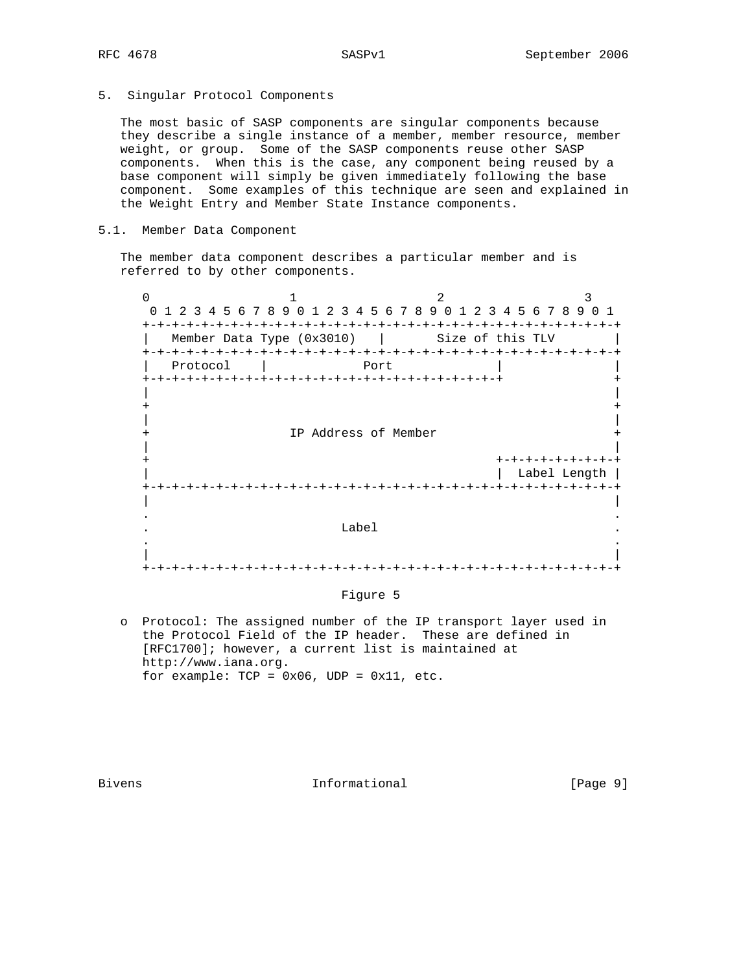5. Singular Protocol Components

 The most basic of SASP components are singular components because they describe a single instance of a member, member resource, member weight, or group. Some of the SASP components reuse other SASP components. When this is the case, any component being reused by a base component will simply be given immediately following the base component. Some examples of this technique are seen and explained in the Weight Entry and Member State Instance components.

## 5.1. Member Data Component

 The member data component describes a particular member and is referred to by other components.

 $0$  and  $1$  and  $2$  3 0 1 2 3 4 5 6 7 8 9 0 1 2 3 4 5 6 7 8 9 0 1 2 3 4 5 6 7 8 9 0 1 +-+-+-+-+-+-+-+-+-+-+-+-+-+-+-+-+-+-+-+-+-+-+-+-+-+-+-+-+-+-+-+-+ | Member Data Type (0x3010) | Size of this TLV +-+-+-+-+-+-+-+-+-+-+-+-+-+-+-+-+-+-+-+-+-+-+-+-+-+-+-+-+-+-+-+-+ | Protocol | Port | | +-+-+-+-+-+-+-+-+-+-+-+-+-+-+-+-+-+-+-+-+-+-+-+-+ + | | + + | | IP Address of Member | | + +-+-+-+-+-+-+-+-+ | Label Length | +-+-+-+-+-+-+-+-+-+-+-+-+-+-+-+-+-+-+-+-+-+-+-+-+-+-+-+-+-+-+-+-+ | | . . . The contract of the contract of the contract of the contract of the contract of the contract of the contract of the contract of the contract of the contract of the contract of the contract of the contract of the contract . . | | +-+-+-+-+-+-+-+-+-+-+-+-+-+-+-+-+-+-+-+-+-+-+-+-+-+-+-+-+-+-+-+-+

#### Figure 5

 o Protocol: The assigned number of the IP transport layer used in the Protocol Field of the IP header. These are defined in [RFC1700]; however, a current list is maintained at http://www.iana.org. for example:  $TCP = 0x06$ ,  $UDP = 0x11$ , etc.

Bivens **Informational Informational** [Page 9]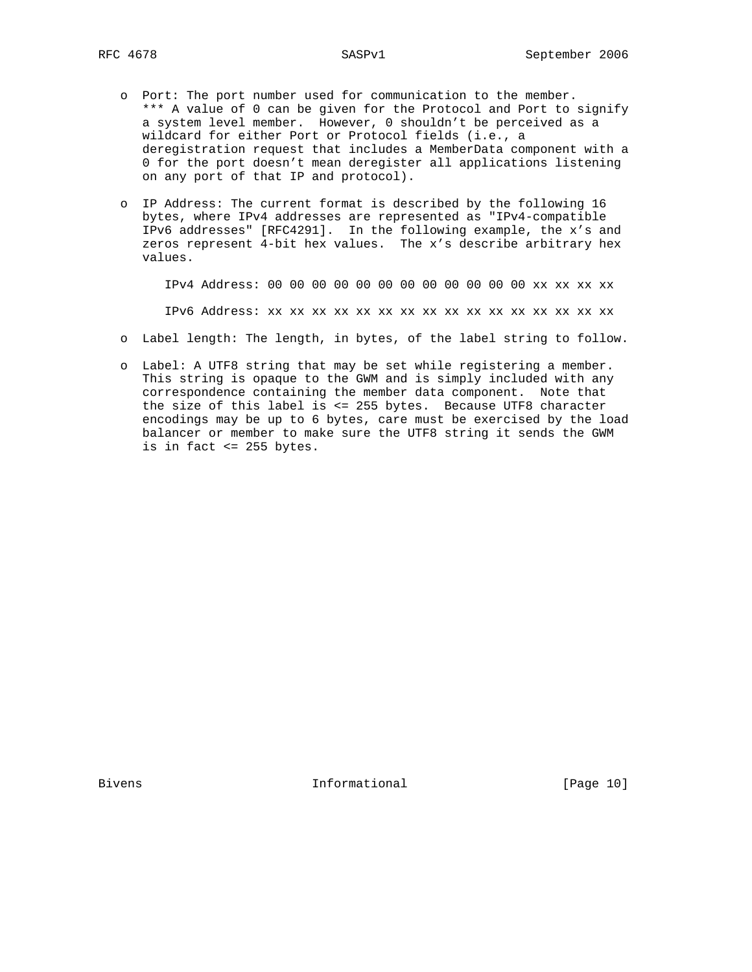o Port: The port number used for communication to the member. \*\*\* A value of 0 can be given for the Protocol and Port to signify a system level member. However, 0 shouldn't be perceived as a wildcard for either Port or Protocol fields (i.e., a deregistration request that includes a MemberData component with a 0 for the port doesn't mean deregister all applications listening on any port of that IP and protocol).

 o IP Address: The current format is described by the following 16 bytes, where IPv4 addresses are represented as "IPv4-compatible IPv6 addresses" [RFC4291]. In the following example, the x's and zeros represent 4-bit hex values. The x's describe arbitrary hex values.

IPv4 Address: 00 00 00 00 00 00 00 00 00 00 00 00 xx xx xx xx

IPv6 Address: xx xx xx xx xx xx xx xx xx xx xx xx xx xx xx xx

- o Label length: The length, in bytes, of the label string to follow.
- o Label: A UTF8 string that may be set while registering a member. This string is opaque to the GWM and is simply included with any correspondence containing the member data component. Note that the size of this label is <= 255 bytes. Because UTF8 character encodings may be up to 6 bytes, care must be exercised by the load balancer or member to make sure the UTF8 string it sends the GWM is in fact <= 255 bytes.

Bivens 10 and 10 and 10 and 10 and 10 and 10 and 10 and 10 and 10 and 10 and 10 and 10 and 10 and 10 and 10 and 10 and 10 and 10 and 10 and 10 and 10 and 10 and 10 and 10 and 10 and 10 and 10 and 10 and 10 and 10 and 10 an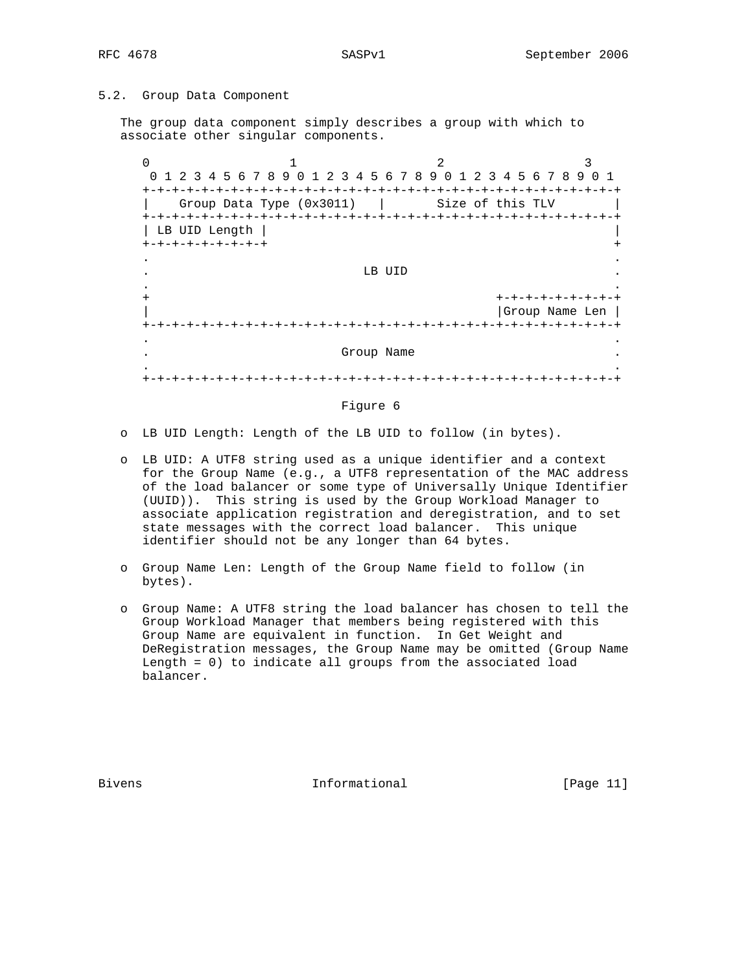## 5.2. Group Data Component

 The group data component simply describes a group with which to associate other singular components.

0  $1$   $2$   $3$  0 1 2 3 4 5 6 7 8 9 0 1 2 3 4 5 6 7 8 9 0 1 2 3 4 5 6 7 8 9 0 1 +-+-+-+-+-+-+-+-+-+-+-+-+-+-+-+-+-+-+-+-+-+-+-+-+-+-+-+-+-+-+-+-+  $Group Data Type (0x3011)$  | Size of this TLV +-+-+-+-+-+-+-+-+-+-+-+-+-+-+-+-+-+-+-+-+-+-+-+-+-+-+-+-+-+-+-+-+ | LB UID Length | | +-+-+-+-+-+-+-+-+ + . . . The contract of the contract of the contract of the contract of the contract of the contract of the contract of the contract of the contract of the contract of the contract of the contract of the contract of the contract . . + +-+-+-+-+-+-+-+-+ | |Group Name Len | +-+-+-+-+-+-+-+-+-+-+-+-+-+-+-+-+-+-+-+-+-+-+-+-+-+-+-+-+-+-+-+-+ . . . Group Name . . . +-+-+-+-+-+-+-+-+-+-+-+-+-+-+-+-+-+-+-+-+-+-+-+-+-+-+-+-+-+-+-+-+

#### Figure 6

- o LB UID Length: Length of the LB UID to follow (in bytes).
- o LB UID: A UTF8 string used as a unique identifier and a context for the Group Name (e.g., a UTF8 representation of the MAC address of the load balancer or some type of Universally Unique Identifier (UUID)). This string is used by the Group Workload Manager to associate application registration and deregistration, and to set state messages with the correct load balancer. This unique identifier should not be any longer than 64 bytes.
- o Group Name Len: Length of the Group Name field to follow (in bytes).
- o Group Name: A UTF8 string the load balancer has chosen to tell the Group Workload Manager that members being registered with this Group Name are equivalent in function. In Get Weight and DeRegistration messages, the Group Name may be omitted (Group Name Length = 0) to indicate all groups from the associated load balancer.

Bivens **Informational Informational** [Page 11]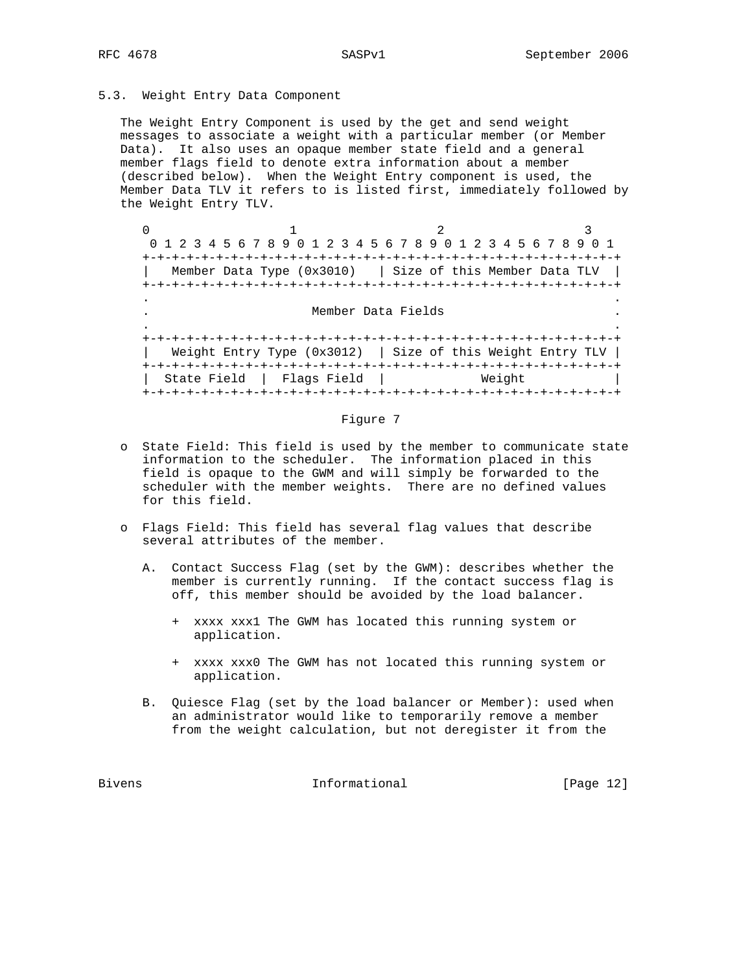## 5.3. Weight Entry Data Component

 The Weight Entry Component is used by the get and send weight messages to associate a weight with a particular member (or Member Data). It also uses an opaque member state field and a general member flags field to denote extra information about a member (described below). When the Weight Entry component is used, the Member Data TLV it refers to is listed first, immediately followed by the Weight Entry TLV.

 $0$  and  $1$  and  $2$  3 0 1 2 3 4 5 6 7 8 9 0 1 2 3 4 5 6 7 8 9 0 1 2 3 4 5 6 7 8 9 0 1 +-+-+-+-+-+-+-+-+-+-+-+-+-+-+-+-+-+-+-+-+-+-+-+-+-+-+-+-+-+-+-+-+ Member Data Type (0x3010) | Size of this Member Data TLV | +-+-+-+-+-+-+-+-+-+-+-+-+-+-+-+-+-+-+-+-+-+-+-+-+-+-+-+-+-+-+-+-+ . . . Member Data Fields . . . +-+-+-+-+-+-+-+-+-+-+-+-+-+-+-+-+-+-+-+-+-+-+-+-+-+-+-+-+-+-+-+-+ Weight Entry Type  $(0x3012)$  | Size of this Weight Entry TLV | +-+-+-+-+-+-+-+-+-+-+-+-+-+-+-+-+-+-+-+-+-+-+-+-+-+-+-+-+-+-+-+-+ | State Field | Flags Field | Weight +-+-+-+-+-+-+-+-+-+-+-+-+-+-+-+-+-+-+-+-+-+-+-+-+-+-+-+-+-+-+-+-+

#### Figure 7

- o State Field: This field is used by the member to communicate state information to the scheduler. The information placed in this field is opaque to the GWM and will simply be forwarded to the scheduler with the member weights. There are no defined values for this field.
- o Flags Field: This field has several flag values that describe several attributes of the member.
	- A. Contact Success Flag (set by the GWM): describes whether the member is currently running. If the contact success flag is off, this member should be avoided by the load balancer.
		- + xxxx xxx1 The GWM has located this running system or application.
		- + xxxx xxx0 The GWM has not located this running system or application.
	- B. Quiesce Flag (set by the load balancer or Member): used when an administrator would like to temporarily remove a member from the weight calculation, but not deregister it from the

Bivens 100 and 100 and 100 and 100 and 100 and 100 and 100 and 100 and 100 and 100 and 100 and 100 and 100 and 100 and 100 and 100 and 100 and 100 and 100 and 100 and 100 and 100 and 100 and 100 and 100 and 100 and 100 and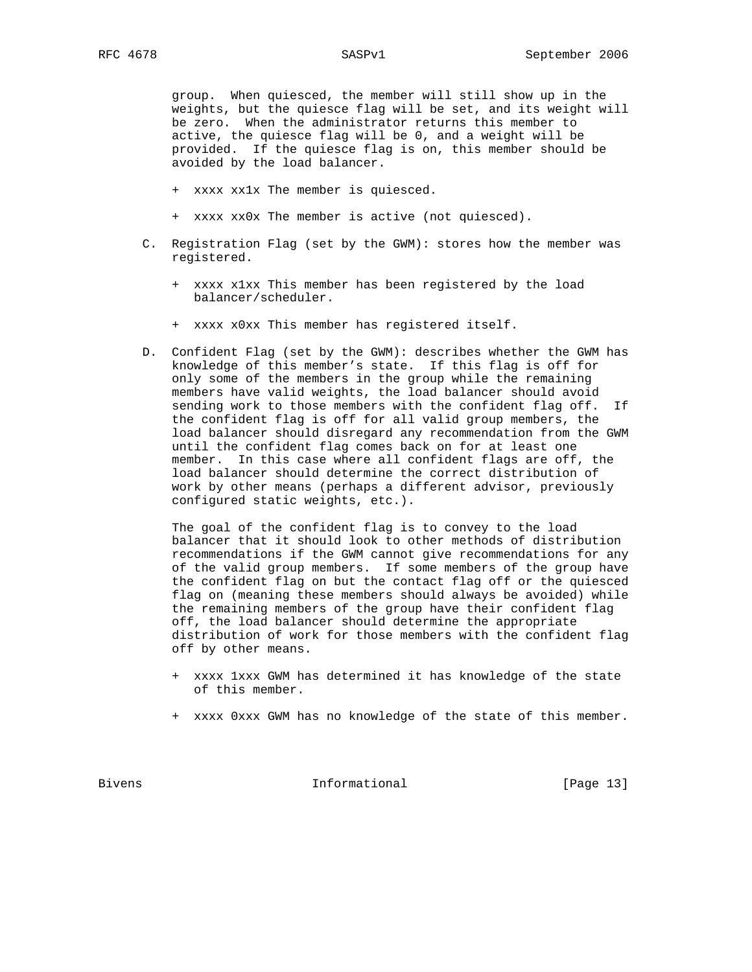group. When quiesced, the member will still show up in the weights, but the quiesce flag will be set, and its weight will be zero. When the administrator returns this member to active, the quiesce flag will be 0, and a weight will be provided. If the quiesce flag is on, this member should be avoided by the load balancer.

- + xxxx xx1x The member is quiesced.
- + xxxx xx0x The member is active (not quiesced).
- C. Registration Flag (set by the GWM): stores how the member was registered.
	- + xxxx x1xx This member has been registered by the load balancer/scheduler.
	- + xxxx x0xx This member has registered itself.
- D. Confident Flag (set by the GWM): describes whether the GWM has knowledge of this member's state. If this flag is off for only some of the members in the group while the remaining members have valid weights, the load balancer should avoid sending work to those members with the confident flag off. If the confident flag is off for all valid group members, the load balancer should disregard any recommendation from the GWM until the confident flag comes back on for at least one member. In this case where all confident flags are off, the load balancer should determine the correct distribution of work by other means (perhaps a different advisor, previously configured static weights, etc.).

 The goal of the confident flag is to convey to the load balancer that it should look to other methods of distribution recommendations if the GWM cannot give recommendations for any of the valid group members. If some members of the group have the confident flag on but the contact flag off or the quiesced flag on (meaning these members should always be avoided) while the remaining members of the group have their confident flag off, the load balancer should determine the appropriate distribution of work for those members with the confident flag off by other means.

- + xxxx 1xxx GWM has determined it has knowledge of the state of this member.
- + xxxx 0xxx GWM has no knowledge of the state of this member.

Bivens 10 and 10 and 10 and 10 and 10 and 10 and 10 and 10 and 10 and 10 and 10 and 10 and 10 and 10 and 10 and 10 and 10 and 10 and 10 and 10 and 10 and 10 and 10 and 10 and 10 and 10 and 10 and 10 and 10 and 10 and 10 an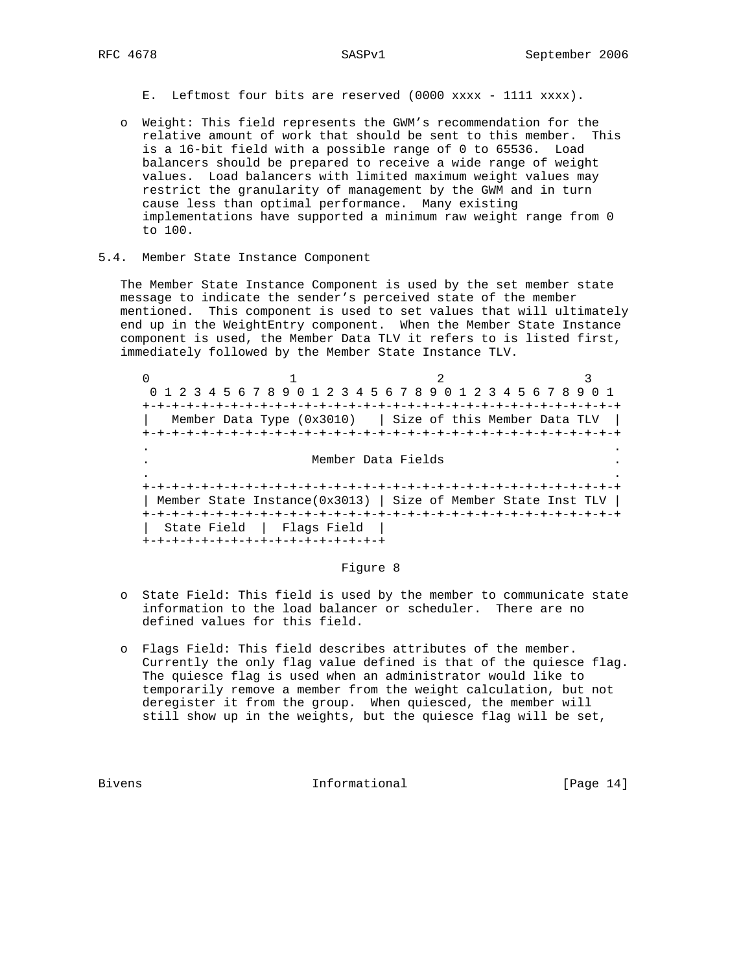- E. Leftmost four bits are reserved (0000 xxxx 1111 xxxx).
- o Weight: This field represents the GWM's recommendation for the relative amount of work that should be sent to this member. This is a 16-bit field with a possible range of 0 to 65536. Load balancers should be prepared to receive a wide range of weight values. Load balancers with limited maximum weight values may restrict the granularity of management by the GWM and in turn cause less than optimal performance. Many existing implementations have supported a minimum raw weight range from 0 to 100.
- 5.4. Member State Instance Component

 The Member State Instance Component is used by the set member state message to indicate the sender's perceived state of the member mentioned. This component is used to set values that will ultimately end up in the WeightEntry component. When the Member State Instance component is used, the Member Data TLV it refers to is listed first, immediately followed by the Member State Instance TLV.

 $0$  and  $1$  and  $2$  3 0 1 2 3 4 5 6 7 8 9 0 1 2 3 4 5 6 7 8 9 0 1 2 3 4 5 6 7 8 9 0 1 +-+-+-+-+-+-+-+-+-+-+-+-+-+-+-+-+-+-+-+-+-+-+-+-+-+-+-+-+-+-+-+-+ | Member Data Type (0x3010) | Size of this Member Data TLV | +-+-+-+-+-+-+-+-+-+-+-+-+-+-+-+-+-+-+-+-+-+-+-+-+-+-+-+-+-+-+-+-+ . . . Member Data Fields . . . +-+-+-+-+-+-+-+-+-+-+-+-+-+-+-+-+-+-+-+-+-+-+-+-+-+-+-+-+-+-+-+-+ | Member State Instance(0x3013) | Size of Member State Inst TLV | +-+-+-+-+-+-+-+-+-+-+-+-+-+-+-+-+-+-+-+-+-+-+-+-+-+-+-+-+-+-+-+-+ | State Field | Flags Field | +-+-+-+-+-+-+-+-+-+-+-+-+-+-+-+-+

## Figure 8

- o State Field: This field is used by the member to communicate state information to the load balancer or scheduler. There are no defined values for this field.
- o Flags Field: This field describes attributes of the member. Currently the only flag value defined is that of the quiesce flag. The quiesce flag is used when an administrator would like to temporarily remove a member from the weight calculation, but not deregister it from the group. When quiesced, the member will still show up in the weights, but the quiesce flag will be set,

Bivens **Informational Informational** [Page 14]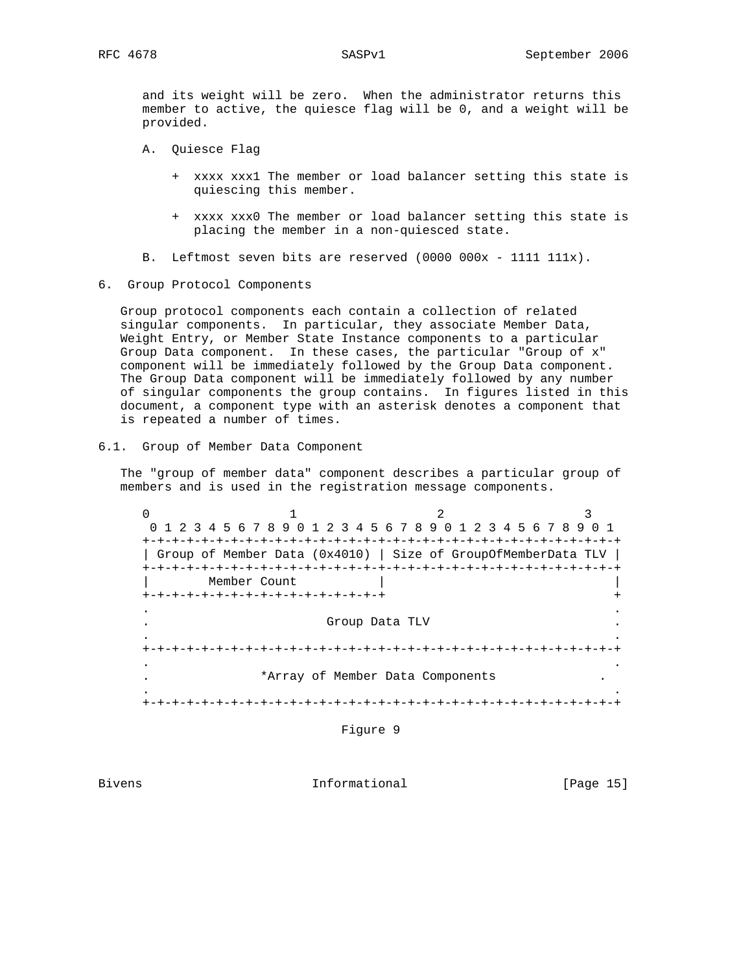and its weight will be zero. When the administrator returns this member to active, the quiesce flag will be 0, and a weight will be provided.

- A. Quiesce Flag
	- + xxxx xxx1 The member or load balancer setting this state is quiescing this member.
	- + xxxx xxx0 The member or load balancer setting this state is placing the member in a non-quiesced state.
- B. Leftmost seven bits are reserved (0000 000x 1111 111x).
- 6. Group Protocol Components

 Group protocol components each contain a collection of related singular components. In particular, they associate Member Data, Weight Entry, or Member State Instance components to a particular Group Data component. In these cases, the particular "Group of x" component will be immediately followed by the Group Data component. The Group Data component will be immediately followed by any number of singular components the group contains. In figures listed in this document, a component type with an asterisk denotes a component that is repeated a number of times.

6.1. Group of Member Data Component

 The "group of member data" component describes a particular group of members and is used in the registration message components.

 $0$  and  $1$  and  $2$  3 0 1 2 3 4 5 6 7 8 9 0 1 2 3 4 5 6 7 8 9 0 1 2 3 4 5 6 7 8 9 0 1 +-+-+-+-+-+-+-+-+-+-+-+-+-+-+-+-+-+-+-+-+-+-+-+-+-+-+-+-+-+-+-+-+ | Group of Member Data (0x4010) | Size of GroupOfMemberData TLV | +-+-+-+-+-+-+-+-+-+-+-+-+-+-+-+-+-+-+-+-+-+-+-+-+-+-+-+-+-+-+-+-+ Member Count +-+-+-+-+-+-+-+-+-+-+-+-+-+-+-+-+ + . . . Group Data TLV . . . +-+-+-+-+-+-+-+-+-+-+-+-+-+-+-+-+-+-+-+-+-+-+-+-+-+-+-+-+-+-+-+-+ . . \*Array of Member Data Components . . +-+-+-+-+-+-+-+-+-+-+-+-+-+-+-+-+-+-+-+-+-+-+-+-+-+-+-+-+-+-+-+-+

Figure 9

Bivens **Informational Informational** [Page 15]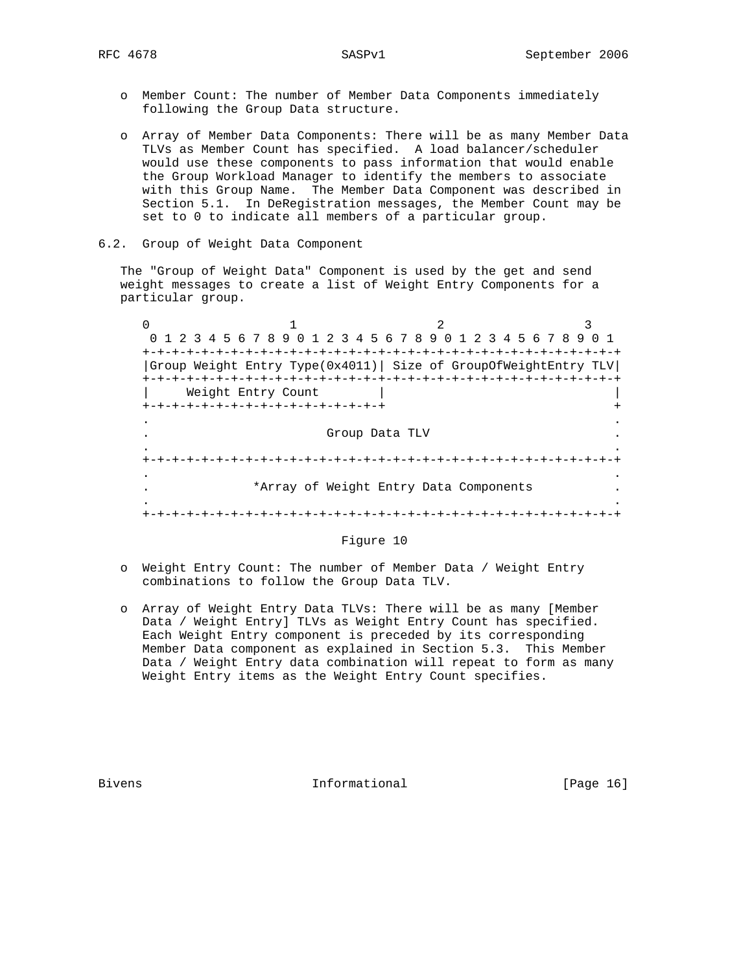- o Member Count: The number of Member Data Components immediately following the Group Data structure.
- o Array of Member Data Components: There will be as many Member Data TLVs as Member Count has specified. A load balancer/scheduler would use these components to pass information that would enable the Group Workload Manager to identify the members to associate with this Group Name. The Member Data Component was described in Section 5.1. In DeRegistration messages, the Member Count may be set to 0 to indicate all members of a particular group.
- 6.2. Group of Weight Data Component

 The "Group of Weight Data" Component is used by the get and send weight messages to create a list of Weight Entry Components for a particular group.

0  $1$   $2$   $3$  0 1 2 3 4 5 6 7 8 9 0 1 2 3 4 5 6 7 8 9 0 1 2 3 4 5 6 7 8 9 0 1 +-+-+-+-+-+-+-+-+-+-+-+-+-+-+-+-+-+-+-+-+-+-+-+-+-+-+-+-+-+-+-+-+ |Group Weight Entry Type(0x4011)| Size of GroupOfWeightEntry TLV| +-+-+-+-+-+-+-+-+-+-+-+-+-+-+-+-+-+-+-+-+-+-+-+-+-+-+-+-+-+-+-+-+ | Weight Entry Count | | +-+-+-+-+-+-+-+-+-+-+-+-+-+-+-+-+ + . . . Group Data TLV . . . +-+-+-+-+-+-+-+-+-+-+-+-+-+-+-+-+-+-+-+-+-+-+-+-+-+-+-+-+-+-+-+-+ . . \*Array of Weight Entry Data Components . . +-+-+-+-+-+-+-+-+-+-+-+-+-+-+-+-+-+-+-+-+-+-+-+-+-+-+-+-+-+-+-+-+

## Figure 10

- o Weight Entry Count: The number of Member Data / Weight Entry combinations to follow the Group Data TLV.
- o Array of Weight Entry Data TLVs: There will be as many [Member Data / Weight Entry] TLVs as Weight Entry Count has specified. Each Weight Entry component is preceded by its corresponding Member Data component as explained in Section 5.3. This Member Data / Weight Entry data combination will repeat to form as many Weight Entry items as the Weight Entry Count specifies.

Bivens **Informational Informational** [Page 16]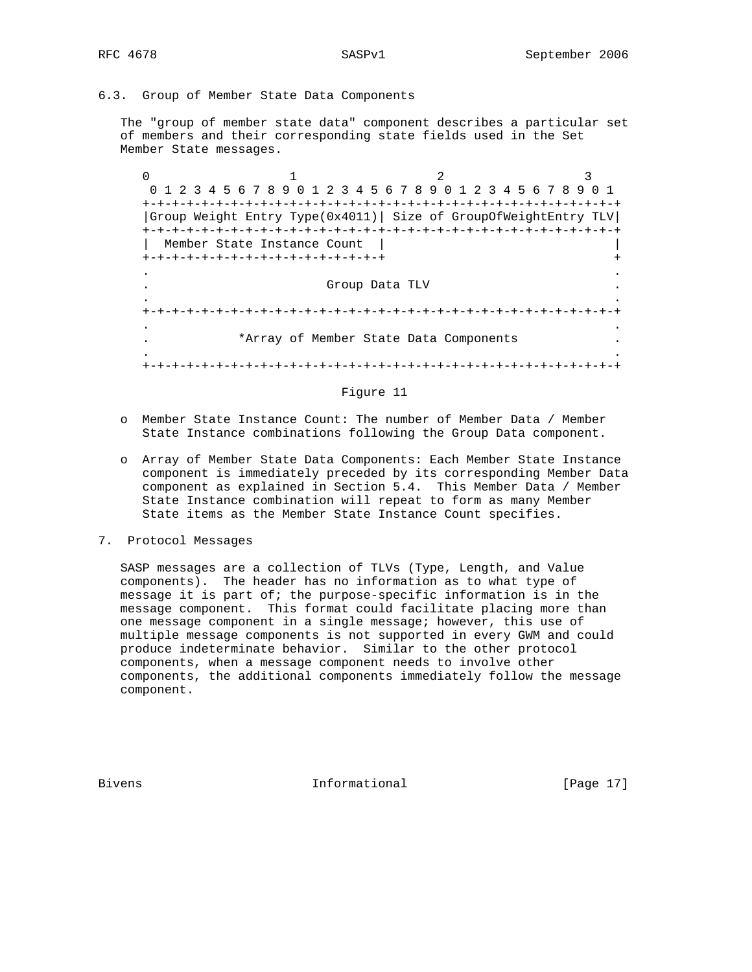6.3. Group of Member State Data Components

 The "group of member state data" component describes a particular set of members and their corresponding state fields used in the Set Member State messages.

 $0$  and  $1$  and  $2$  3 0 1 2 3 4 5 6 7 8 9 0 1 2 3 4 5 6 7 8 9 0 1 2 3 4 5 6 7 8 9 0 1 +-+-+-+-+-+-+-+-+-+-+-+-+-+-+-+-+-+-+-+-+-+-+-+-+-+-+-+-+-+-+-+-+ |Group Weight Entry Type(0x4011)| Size of GroupOfWeightEntry TLV| +-+-+-+-+-+-+-+-+-+-+-+-+-+-+-+-+-+-+-+-+-+-+-+-+-+-+-+-+-+-+-+-+ | Member State Instance Count | | +-+-+-+-+-+-+-+-+-+-+-+-+-+-+-+-+ + . . . Group Data TLV . . . +-+-+-+-+-+-+-+-+-+-+-+-+-+-+-+-+-+-+-+-+-+-+-+-+-+-+-+-+-+-+-+-+ . . . \*Array of Member State Data Components . . . +-+-+-+-+-+-+-+-+-+-+-+-+-+-+-+-+-+-+-+-+-+-+-+-+-+-+-+-+-+-+-+-+

### Figure 11

- o Member State Instance Count: The number of Member Data / Member State Instance combinations following the Group Data component.
- o Array of Member State Data Components: Each Member State Instance component is immediately preceded by its corresponding Member Data component as explained in Section 5.4. This Member Data / Member State Instance combination will repeat to form as many Member State items as the Member State Instance Count specifies.
- 7. Protocol Messages

 SASP messages are a collection of TLVs (Type, Length, and Value components). The header has no information as to what type of message it is part of; the purpose-specific information is in the message component. This format could facilitate placing more than one message component in a single message; however, this use of multiple message components is not supported in every GWM and could produce indeterminate behavior. Similar to the other protocol components, when a message component needs to involve other components, the additional components immediately follow the message component.

Bivens **Informational Informational** [Page 17]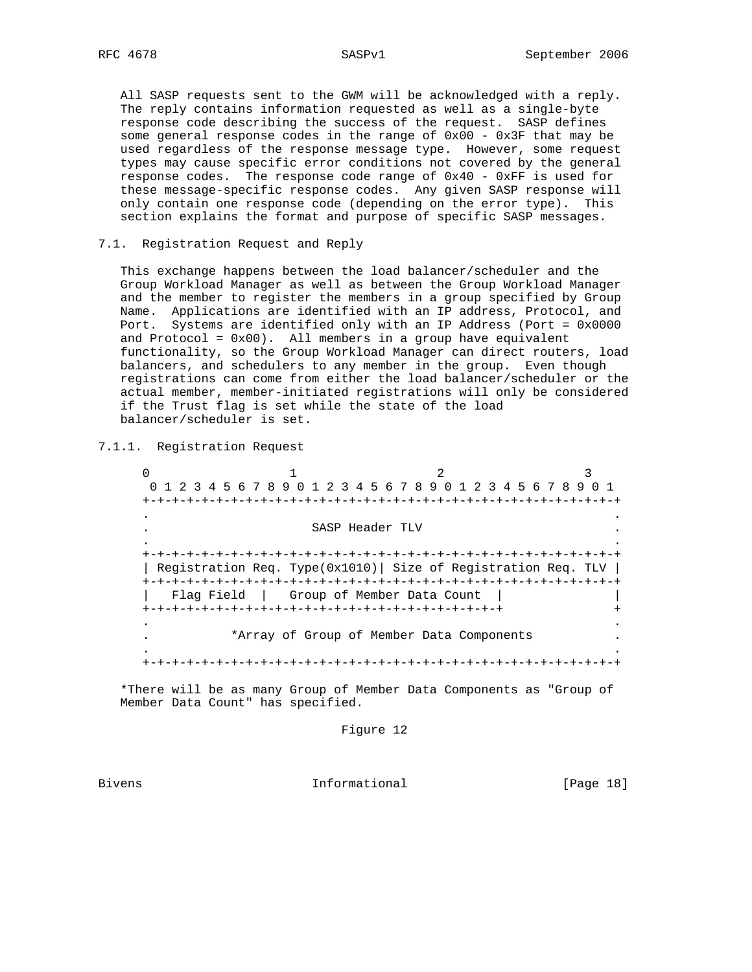All SASP requests sent to the GWM will be acknowledged with a reply. The reply contains information requested as well as a single-byte response code describing the success of the request. SASP defines some general response codes in the range of  $0x00 - 0x3F$  that may be used regardless of the response message type. However, some request types may cause specific error conditions not covered by the general response codes. The response code range of 0x40 - 0xFF is used for these message-specific response codes. Any given SASP response will only contain one response code (depending on the error type). This section explains the format and purpose of specific SASP messages.

## 7.1. Registration Request and Reply

 This exchange happens between the load balancer/scheduler and the Group Workload Manager as well as between the Group Workload Manager and the member to register the members in a group specified by Group Name. Applications are identified with an IP address, Protocol, and Port. Systems are identified only with an IP Address (Port = 0x0000 and Protocol =  $0x00$ ). All members in a group have equivalent functionality, so the Group Workload Manager can direct routers, load balancers, and schedulers to any member in the group. Even though registrations can come from either the load balancer/scheduler or the actual member, member-initiated registrations will only be considered if the Trust flag is set while the state of the load balancer/scheduler is set.

7.1.1. Registration Request

 $\begin{array}{ccccccc}\n0 & & & 1 & & & 2 & & 3\n\end{array}$  0 1 2 3 4 5 6 7 8 9 0 1 2 3 4 5 6 7 8 9 0 1 2 3 4 5 6 7 8 9 0 1 +-+-+-+-+-+-+-+-+-+-+-+-+-+-+-+-+-+-+-+-+-+-+-+-+-+-+-+-+-+-+-+-+ . . . SASP Header TLV . . . +-+-+-+-+-+-+-+-+-+-+-+-+-+-+-+-+-+-+-+-+-+-+-+-+-+-+-+-+-+-+-+-+ | Registration Req. Type(0x1010)| Size of Registration Req. TLV | +-+-+-+-+-+-+-+-+-+-+-+-+-+-+-+-+-+-+-+-+-+-+-+-+-+-+-+-+-+-+-+-+ | Flag Field | Group of Member Data Count | | +-+-+-+-+-+-+-+-+-+-+-+-+-+-+-+-+-+-+-+-+-+-+-+-+ + . . . \*Array of Group of Member Data Components . . . +-+-+-+-+-+-+-+-+-+-+-+-+-+-+-+-+-+-+-+-+-+-+-+-+-+-+-+-+-+-+-+-+

 \*There will be as many Group of Member Data Components as "Group of Member Data Count" has specified.

Figure 12

Bivens **Informational Informational** [Page 18]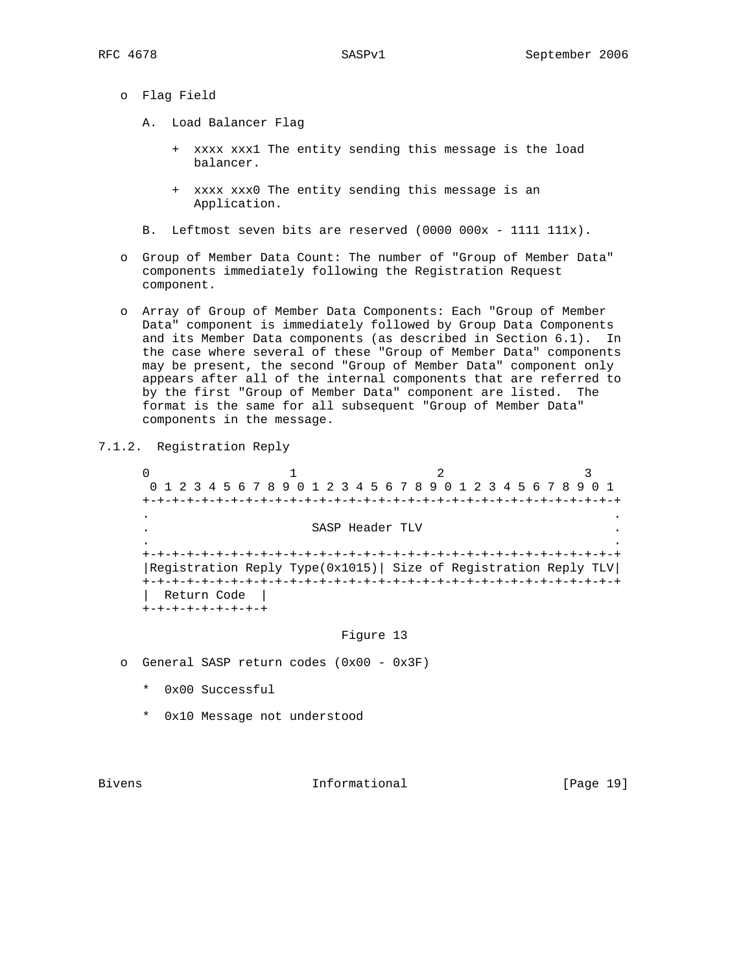- o Flag Field
	- A. Load Balancer Flag
		- + xxxx xxx1 The entity sending this message is the load balancer.
		- + xxxx xxx0 The entity sending this message is an Application.
	- B. Leftmost seven bits are reserved (0000 000x 1111 111x).
- o Group of Member Data Count: The number of "Group of Member Data" components immediately following the Registration Request component.
- o Array of Group of Member Data Components: Each "Group of Member Data" component is immediately followed by Group Data Components and its Member Data components (as described in Section 6.1). In the case where several of these "Group of Member Data" components may be present, the second "Group of Member Data" component only appears after all of the internal components that are referred to by the first "Group of Member Data" component are listed. The format is the same for all subsequent "Group of Member Data" components in the message.
- 7.1.2. Registration Reply

 $0$  and  $1$  and  $2$  3 0 1 2 3 4 5 6 7 8 9 0 1 2 3 4 5 6 7 8 9 0 1 2 3 4 5 6 7 8 9 0 1 +-+-+-+-+-+-+-+-+-+-+-+-+-+-+-+-+-+-+-+-+-+-+-+-+-+-+-+-+-+-+-+-+ . . . SASP Header TLV . . . +-+-+-+-+-+-+-+-+-+-+-+-+-+-+-+-+-+-+-+-+-+-+-+-+-+-+-+-+-+-+-+-+ |Registration Reply Type(0x1015)| Size of Registration Reply TLV| +-+-+-+-+-+-+-+-+-+-+-+-+-+-+-+-+-+-+-+-+-+-+-+-+-+-+-+-+-+-+-+-+ | Return Code | +-+-+-+-+-+-+-+-+

## Figure 13

- o General SASP return codes (0x00 0x3F)
	- \* 0x00 Successful
	- \* 0x10 Message not understood

Bivens **Informational Informational** [Page 19]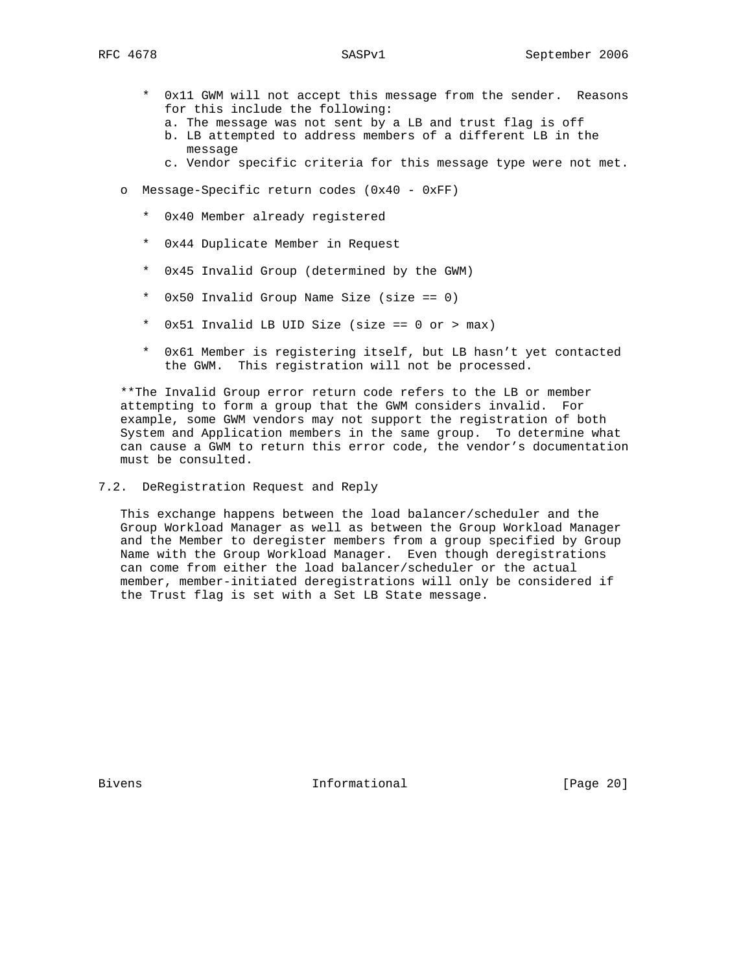- \* 0x11 GWM will not accept this message from the sender. Reasons for this include the following:
	- a. The message was not sent by a LB and trust flag is off
	- b. LB attempted to address members of a different LB in the message
	- c. Vendor specific criteria for this message type were not met.
- o Message-Specific return codes (0x40 0xFF)
	- \* 0x40 Member already registered
	- \* 0x44 Duplicate Member in Request
	- \* 0x45 Invalid Group (determined by the GWM)
	- \* 0x50 Invalid Group Name Size (size == 0)
	- \* 0x51 Invalid LB UID Size (size == 0 or > max)
	- \* 0x61 Member is registering itself, but LB hasn't yet contacted the GWM. This registration will not be processed.

 \*\*The Invalid Group error return code refers to the LB or member attempting to form a group that the GWM considers invalid. For example, some GWM vendors may not support the registration of both System and Application members in the same group. To determine what can cause a GWM to return this error code, the vendor's documentation must be consulted.

7.2. DeRegistration Request and Reply

 This exchange happens between the load balancer/scheduler and the Group Workload Manager as well as between the Group Workload Manager and the Member to deregister members from a group specified by Group Name with the Group Workload Manager. Even though deregistrations can come from either the load balancer/scheduler or the actual member, member-initiated deregistrations will only be considered if the Trust flag is set with a Set LB State message.

Bivens **Informational Informational** [Page 20]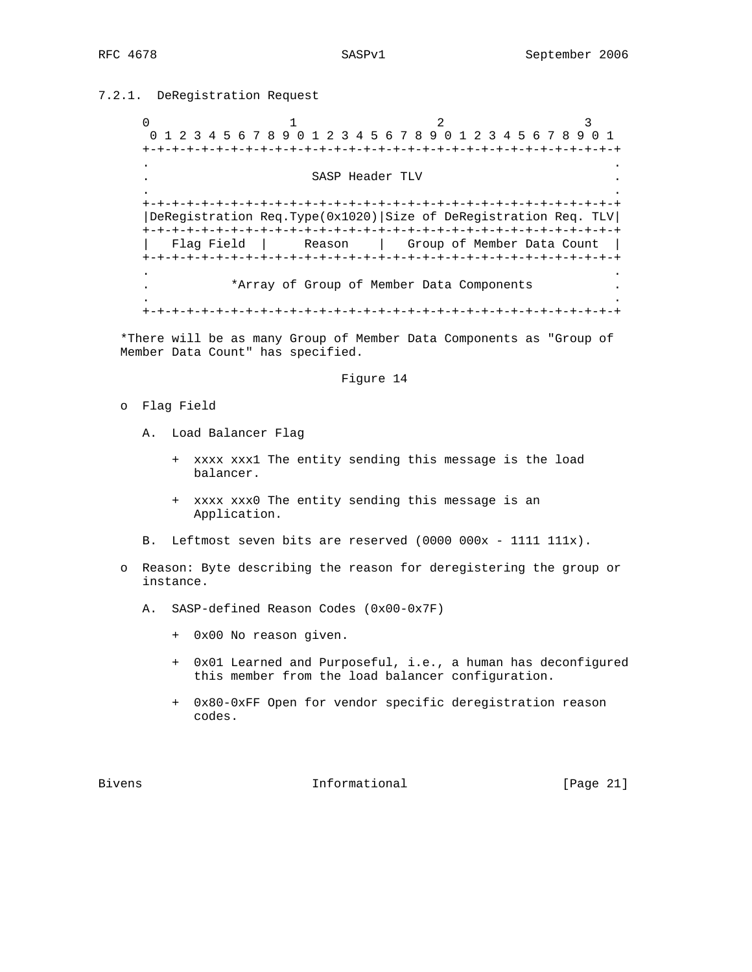# 7.2.1. DeRegistration Request

0  $1$   $2$   $3$  0 1 2 3 4 5 6 7 8 9 0 1 2 3 4 5 6 7 8 9 0 1 2 3 4 5 6 7 8 9 0 1 +-+-+-+-+-+-+-+-+-+-+-+-+-+-+-+-+-+-+-+-+-+-+-+-+-+-+-+-+-+-+-+-+ . . SASP Header TLV . . +-+-+-+-+-+-+-+-+-+-+-+-+-+-+-+-+-+-+-+-+-+-+-+-+-+-+-+-+-+-+-+-+ |DeRegistration Req.Type(0x1020)|Size of DeRegistration Req. TLV| +-+-+-+-+-+-+-+-+-+-+-+-+-+-+-+-+-+-+-+-+-+-+-+-+-+-+-+-+-+-+-+-+ | Flag Field | Reason | Group of Member Data Count | +-+-+-+-+-+-+-+-+-+-+-+-+-+-+-+-+-+-+-+-+-+-+-+-+-+-+-+-+-+-+-+-+ . . . \*Array of Group of Member Data Components . . . +-+-+-+-+-+-+-+-+-+-+-+-+-+-+-+-+-+-+-+-+-+-+-+-+-+-+-+-+-+-+-+-+

 \*There will be as many Group of Member Data Components as "Group of Member Data Count" has specified.

## Figure 14

- o Flag Field
	- A. Load Balancer Flag
		- + xxxx xxx1 The entity sending this message is the load balancer.
		- + xxxx xxx0 The entity sending this message is an Application.
	- B. Leftmost seven bits are reserved (0000 000x 1111 111x).
- o Reason: Byte describing the reason for deregistering the group or instance.
	- A. SASP-defined Reason Codes (0x00-0x7F)
		- + 0x00 No reason given.
		- + 0x01 Learned and Purposeful, i.e., a human has deconfigured this member from the load balancer configuration.
		- + 0x80-0xFF Open for vendor specific deregistration reason codes.

Bivens **Informational Informational** [Page 21]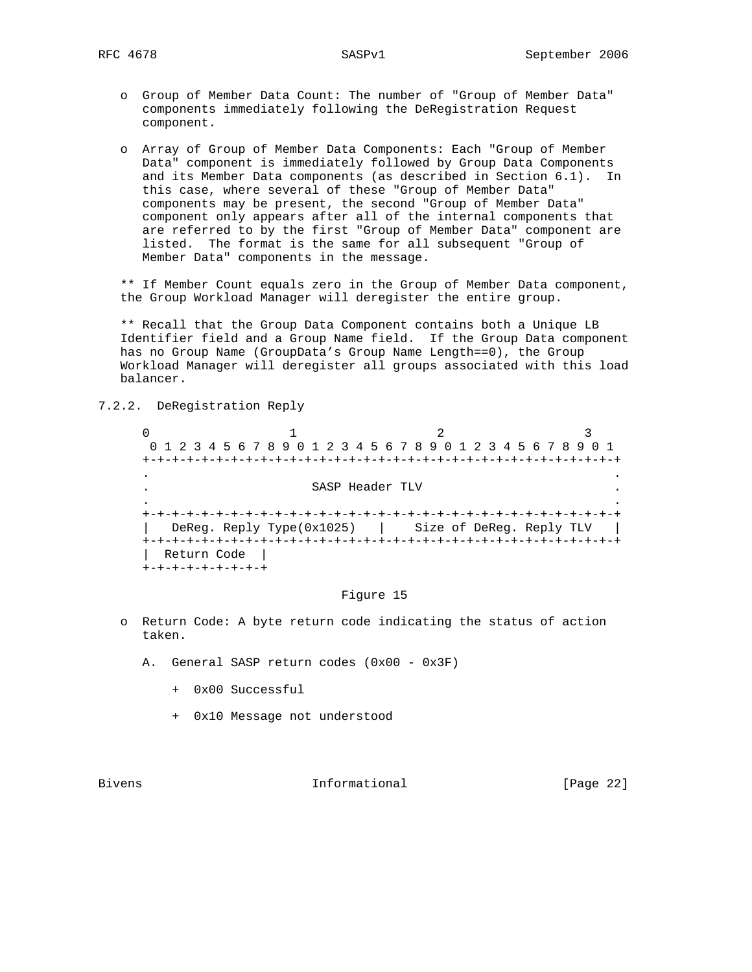- o Group of Member Data Count: The number of "Group of Member Data" components immediately following the DeRegistration Request component.
- o Array of Group of Member Data Components: Each "Group of Member Data" component is immediately followed by Group Data Components and its Member Data components (as described in Section 6.1). In this case, where several of these "Group of Member Data" components may be present, the second "Group of Member Data" component only appears after all of the internal components that are referred to by the first "Group of Member Data" component are listed. The format is the same for all subsequent "Group of Member Data" components in the message.

 \*\* If Member Count equals zero in the Group of Member Data component, the Group Workload Manager will deregister the entire group.

 \*\* Recall that the Group Data Component contains both a Unique LB Identifier field and a Group Name field. If the Group Data component has no Group Name (GroupData's Group Name Length==0), the Group Workload Manager will deregister all groups associated with this load balancer.

## 7.2.2. DeRegistration Reply

 $0$  and  $1$  and  $2$  3 0 1 2 3 4 5 6 7 8 9 0 1 2 3 4 5 6 7 8 9 0 1 2 3 4 5 6 7 8 9 0 1 +-+-+-+-+-+-+-+-+-+-+-+-+-+-+-+-+-+-+-+-+-+-+-+-+-+-+-+-+-+-+-+-+ . . . SASP Header TLV . . . +-+-+-+-+-+-+-+-+-+-+-+-+-+-+-+-+-+-+-+-+-+-+-+-+-+-+-+-+-+-+-+-+ | DeReg. Reply Type(0x1025) | Size of DeReg. Reply TLV | +-+-+-+-+-+-+-+-+-+-+-+-+-+-+-+-+-+-+-+-+-+-+-+-+-+-+-+-+-+-+-+-+ | Return Code | +-+-+-+-+-+-+-+-+

#### Figure 15

- o Return Code: A byte return code indicating the status of action taken.
	- A. General SASP return codes (0x00 0x3F)
		- + 0x00 Successful
		- + 0x10 Message not understood

Bivens **Informational Informational** [Page 22]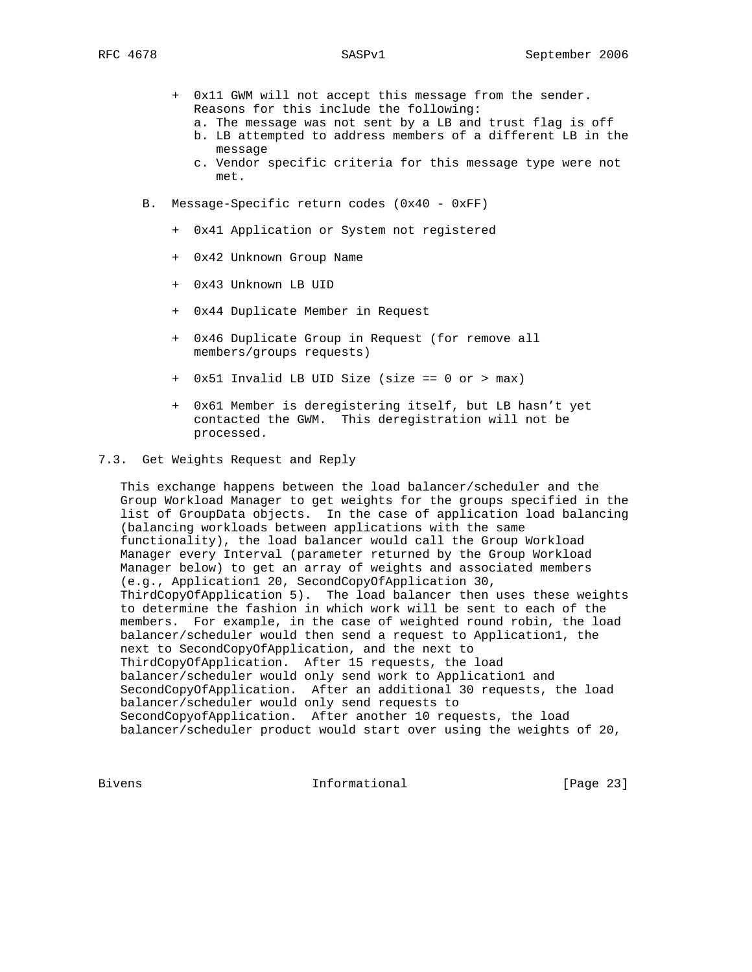- + 0x11 GWM will not accept this message from the sender. Reasons for this include the following:
	- a. The message was not sent by a LB and trust flag is off
	- b. LB attempted to address members of a different LB in the message
	- c. Vendor specific criteria for this message type were not met.
- B. Message-Specific return codes (0x40 0xFF)
	- + 0x41 Application or System not registered
	- + 0x42 Unknown Group Name
	- + 0x43 Unknown LB UID
	- + 0x44 Duplicate Member in Request
	- + 0x46 Duplicate Group in Request (for remove all members/groups requests)
	- + 0x51 Invalid LB UID Size (size == 0 or > max)
	- + 0x61 Member is deregistering itself, but LB hasn't yet contacted the GWM. This deregistration will not be processed.

## 7.3. Get Weights Request and Reply

 This exchange happens between the load balancer/scheduler and the Group Workload Manager to get weights for the groups specified in the list of GroupData objects. In the case of application load balancing (balancing workloads between applications with the same functionality), the load balancer would call the Group Workload Manager every Interval (parameter returned by the Group Workload Manager below) to get an array of weights and associated members (e.g., Application1 20, SecondCopyOfApplication 30, ThirdCopyOfApplication 5). The load balancer then uses these weights to determine the fashion in which work will be sent to each of the members. For example, in the case of weighted round robin, the load balancer/scheduler would then send a request to Application1, the next to SecondCopyOfApplication, and the next to ThirdCopyOfApplication. After 15 requests, the load balancer/scheduler would only send work to Application1 and SecondCopyOfApplication. After an additional 30 requests, the load balancer/scheduler would only send requests to SecondCopyofApplication. After another 10 requests, the load balancer/scheduler product would start over using the weights of 20,

Bivens 1nformational [Page 23]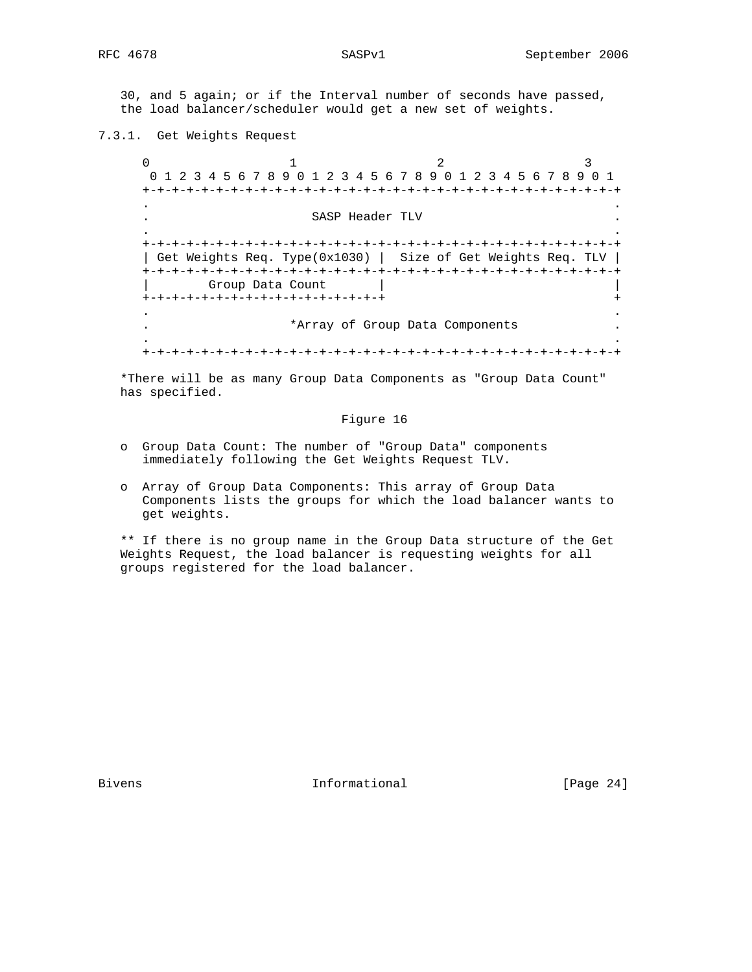30, and 5 again; or if the Interval number of seconds have passed, the load balancer/scheduler would get a new set of weights.

7.3.1. Get Weights Request

0  $1$   $2$   $3$  0 1 2 3 4 5 6 7 8 9 0 1 2 3 4 5 6 7 8 9 0 1 2 3 4 5 6 7 8 9 0 1 +-+-+-+-+-+-+-+-+-+-+-+-+-+-+-+-+-+-+-+-+-+-+-+-+-+-+-+-+-+-+-+-+ . . . SASP Header TLV . . . +-+-+-+-+-+-+-+-+-+-+-+-+-+-+-+-+-+-+-+-+-+-+-+-+-+-+-+-+-+-+-+-+ | Get Weights Req. Type(0x1030) | Size of Get Weights Req. TLV | +-+-+-+-+-+-+-+-+-+-+-+-+-+-+-+-+-+-+-+-+-+-+-+-+-+-+-+-+-+-+-+-+ Group Data Count +-+-+-+-+-+-+-+-+-+-+-+-+-+-+-+-+ + . . . \*Array of Group Data Components . . . +-+-+-+-+-+-+-+-+-+-+-+-+-+-+-+-+-+-+-+-+-+-+-+-+-+-+-+-+-+-+-+-+

 \*There will be as many Group Data Components as "Group Data Count" has specified.

## Figure 16

- o Group Data Count: The number of "Group Data" components immediately following the Get Weights Request TLV.
- o Array of Group Data Components: This array of Group Data Components lists the groups for which the load balancer wants to get weights.

 \*\* If there is no group name in the Group Data structure of the Get Weights Request, the load balancer is requesting weights for all groups registered for the load balancer.

Bivens **Informational Informational** [Page 24]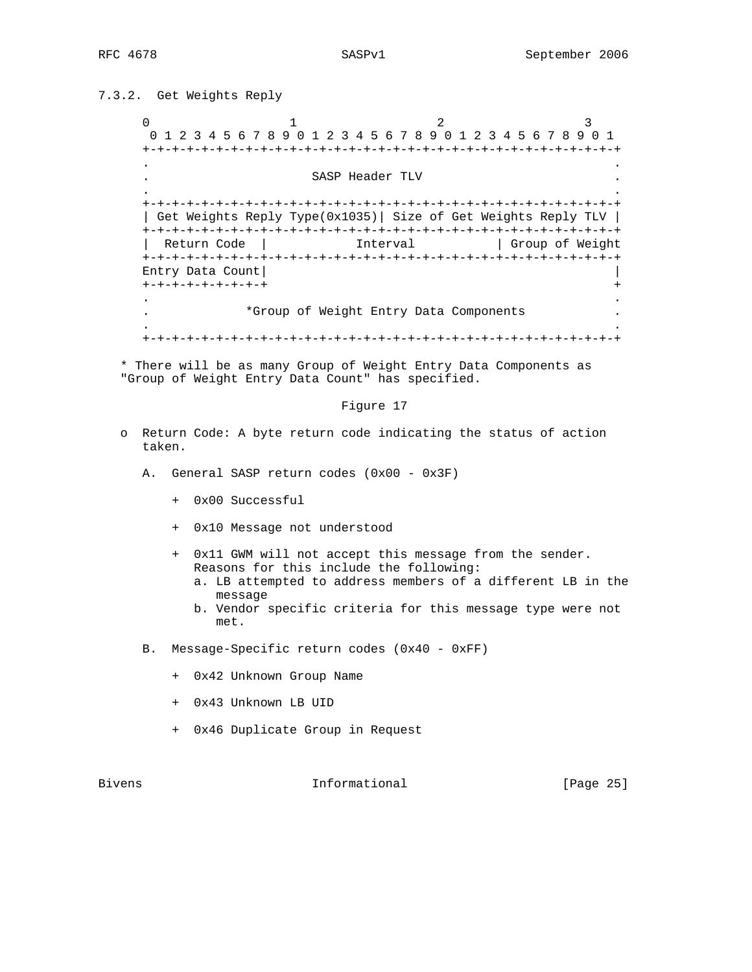# 7.3.2. Get Weights Reply

0  $1$   $2$   $3$  0 1 2 3 4 5 6 7 8 9 0 1 2 3 4 5 6 7 8 9 0 1 2 3 4 5 6 7 8 9 0 1 +-+-+-+-+-+-+-+-+-+-+-+-+-+-+-+-+-+-+-+-+-+-+-+-+-+-+-+-+-+-+-+-+ . . SASP Header TLV . . +-+-+-+-+-+-+-+-+-+-+-+-+-+-+-+-+-+-+-+-+-+-+-+-+-+-+-+-+-+-+-+-+ | Get Weights Reply Type(0x1035)| Size of Get Weights Reply TLV | +-+-+-+-+-+-+-+-+-+-+-+-+-+-+-+-+-+-+-+-+-+-+-+-+-+-+-+-+-+-+-+-+ Return Code | Interval | Group of Weight +-+-+-+-+-+-+-+-+-+-+-+-+-+-+-+-+-+-+-+-+-+-+-+-+-+-+-+-+-+-+-+-+ Entry Data Count| | +-+-+-+-+-+-+-+-+ + . . . \*Group of Weight Entry Data Components . . . +-+-+-+-+-+-+-+-+-+-+-+-+-+-+-+-+-+-+-+-+-+-+-+-+-+-+-+-+-+-+-+-+

 \* There will be as many Group of Weight Entry Data Components as "Group of Weight Entry Data Count" has specified.

## Figure 17

- o Return Code: A byte return code indicating the status of action taken.
	- A. General SASP return codes (0x00 0x3F)
		- + 0x00 Successful
		- + 0x10 Message not understood
		- + 0x11 GWM will not accept this message from the sender. Reasons for this include the following:
			- a. LB attempted to address members of a different LB in the message
			- b. Vendor specific criteria for this message type were not met.
	- B. Message-Specific return codes (0x40 0xFF)
		- + 0x42 Unknown Group Name
		- + 0x43 Unknown LB UID
		- + 0x46 Duplicate Group in Request

Bivens 10 and 10 and 10 and 10 and 10 and 10 and 10 and 10 and 10 and 10 and 10 and 10 and 10 and 10 and 10 and 10 and 10 and 10 and 10 and 10 and 10 and 10 and 10 and 10 and 10 and 10 and 10 and 10 and 10 and 10 and 10 an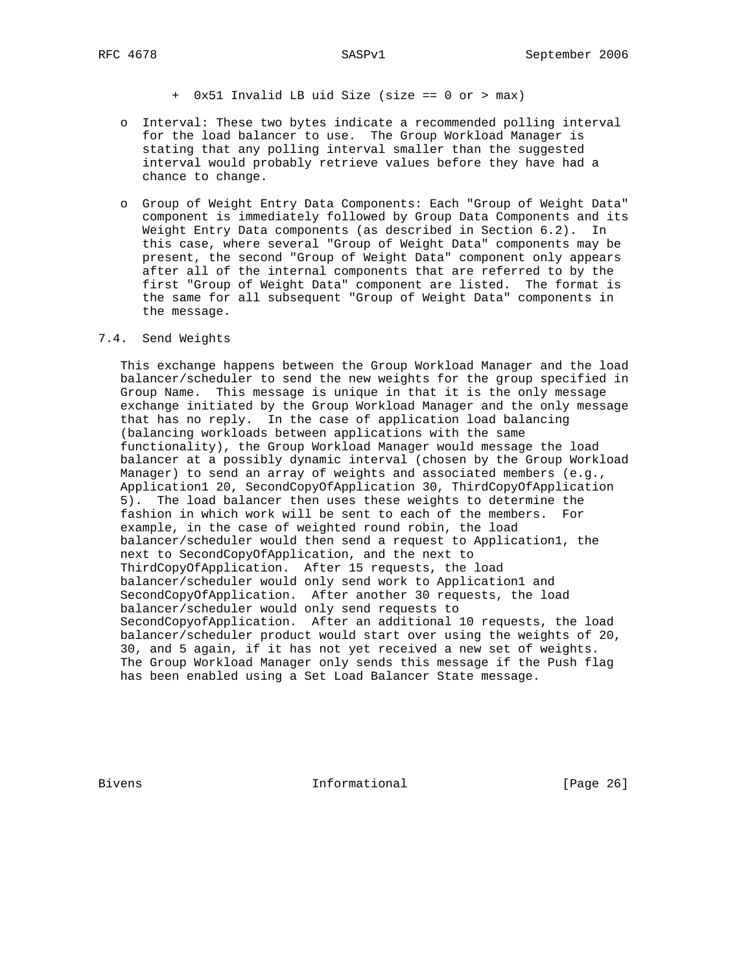+ 0x51 Invalid LB uid Size (size == 0 or > max)

- o Interval: These two bytes indicate a recommended polling interval for the load balancer to use. The Group Workload Manager is stating that any polling interval smaller than the suggested interval would probably retrieve values before they have had a chance to change.
- o Group of Weight Entry Data Components: Each "Group of Weight Data" component is immediately followed by Group Data Components and its Weight Entry Data components (as described in Section 6.2). In this case, where several "Group of Weight Data" components may be present, the second "Group of Weight Data" component only appears after all of the internal components that are referred to by the first "Group of Weight Data" component are listed. The format is the same for all subsequent "Group of Weight Data" components in the message.

## 7.4. Send Weights

 This exchange happens between the Group Workload Manager and the load balancer/scheduler to send the new weights for the group specified in Group Name. This message is unique in that it is the only message exchange initiated by the Group Workload Manager and the only message that has no reply. In the case of application load balancing (balancing workloads between applications with the same functionality), the Group Workload Manager would message the load balancer at a possibly dynamic interval (chosen by the Group Workload Manager) to send an array of weights and associated members (e.g., Application1 20, SecondCopyOfApplication 30, ThirdCopyOfApplication 5). The load balancer then uses these weights to determine the fashion in which work will be sent to each of the members. For example, in the case of weighted round robin, the load balancer/scheduler would then send a request to Application1, the next to SecondCopyOfApplication, and the next to ThirdCopyOfApplication. After 15 requests, the load balancer/scheduler would only send work to Application1 and SecondCopyOfApplication. After another 30 requests, the load balancer/scheduler would only send requests to SecondCopyofApplication. After an additional 10 requests, the load balancer/scheduler product would start over using the weights of 20, 30, and 5 again, if it has not yet received a new set of weights. The Group Workload Manager only sends this message if the Push flag has been enabled using a Set Load Balancer State message.

Bivens **Informational Informational** [Page 26]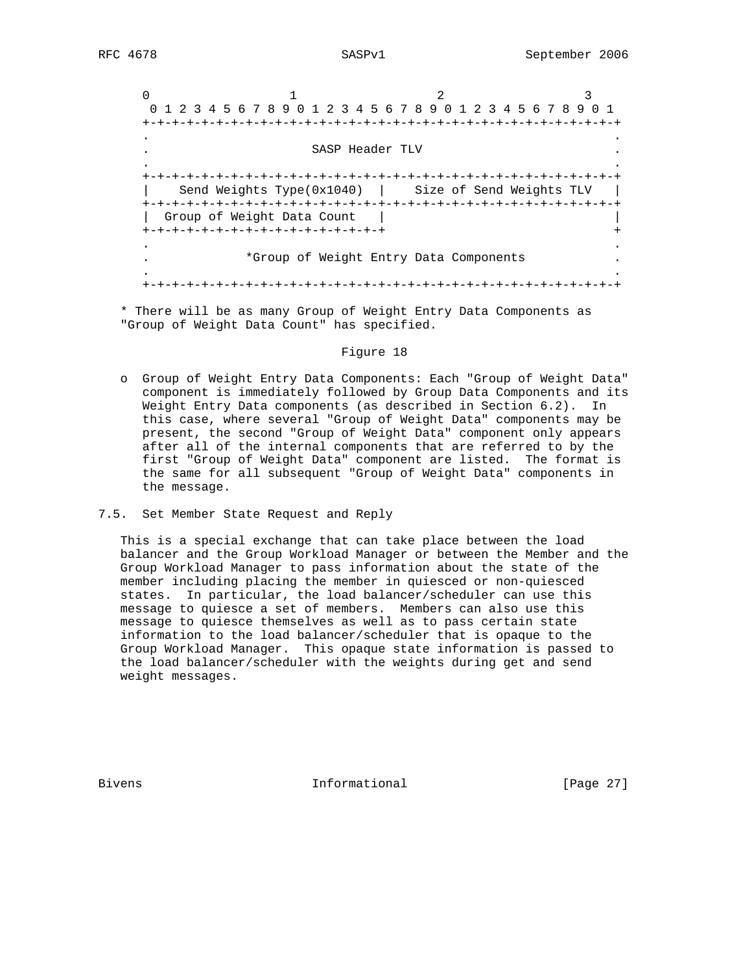$0$  and  $1$  and  $2$  3 0 1 2 3 4 5 6 7 8 9 0 1 2 3 4 5 6 7 8 9 0 1 2 3 4 5 6 7 8 9 0 1 +-+-+-+-+-+-+-+-+-+-+-+-+-+-+-+-+-+-+-+-+-+-+-+-+-+-+-+-+-+-+-+-+ . . . SASP Header TLV . . . +-+-+-+-+-+-+-+-+-+-+-+-+-+-+-+-+-+-+-+-+-+-+-+-+-+-+-+-+-+-+-+-+ | Send Weights Type(0x1040) | Size of Send Weights TLV | +-+-+-+-+-+-+-+-+-+-+-+-+-+-+-+-+-+-+-+-+-+-+-+-+-+-+-+-+-+-+-+-+ | Group of Weight Data Count | | +-+-+-+-+-+-+-+-+-+-+-+-+-+-+-+-+ + . . . \*Group of Weight Entry Data Components . . . +-+-+-+-+-+-+-+-+-+-+-+-+-+-+-+-+-+-+-+-+-+-+-+-+-+-+-+-+-+-+-+-+

 \* There will be as many Group of Weight Entry Data Components as "Group of Weight Data Count" has specified.

#### Figure 18

- o Group of Weight Entry Data Components: Each "Group of Weight Data" component is immediately followed by Group Data Components and its Weight Entry Data components (as described in Section 6.2). In this case, where several "Group of Weight Data" components may be present, the second "Group of Weight Data" component only appears after all of the internal components that are referred to by the first "Group of Weight Data" component are listed. The format is the same for all subsequent "Group of Weight Data" components in the message.
- 7.5. Set Member State Request and Reply

 This is a special exchange that can take place between the load balancer and the Group Workload Manager or between the Member and the Group Workload Manager to pass information about the state of the member including placing the member in quiesced or non-quiesced states. In particular, the load balancer/scheduler can use this message to quiesce a set of members. Members can also use this message to quiesce themselves as well as to pass certain state information to the load balancer/scheduler that is opaque to the Group Workload Manager. This opaque state information is passed to the load balancer/scheduler with the weights during get and send weight messages.

Bivens **Informational Informational** [Page 27]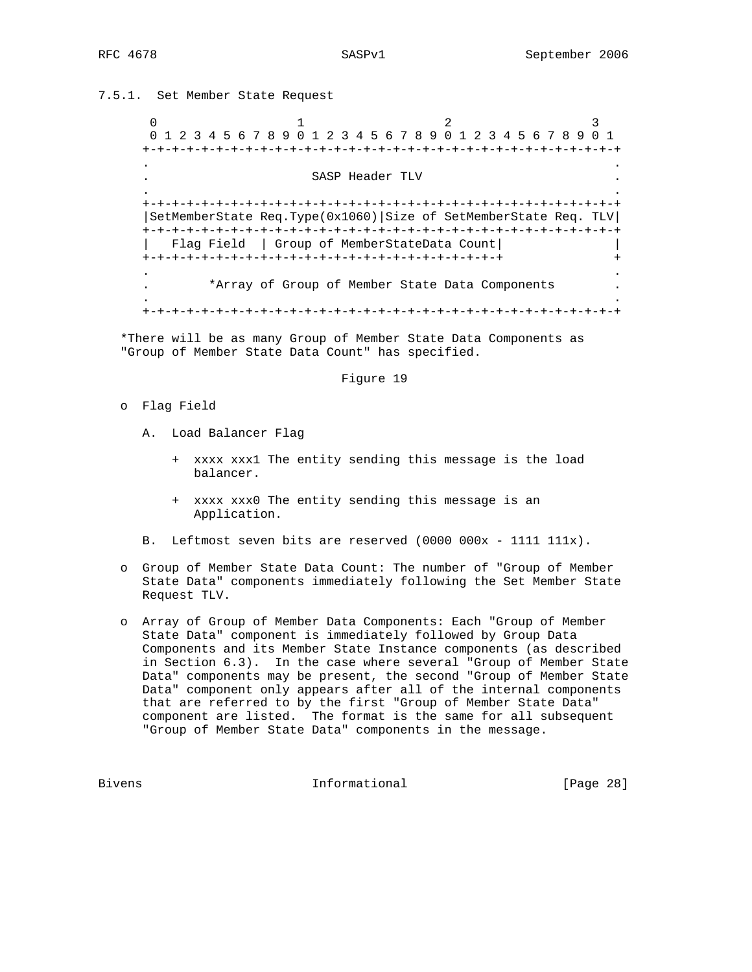7.5.1. Set Member State Request

0  $1$  2 3 0 1 2 3 4 5 6 7 8 9 0 1 2 3 4 5 6 7 8 9 0 1 2 3 4 5 6 7 8 9 0 1 +-+-+-+-+-+-+-+-+-+-+-+-+-+-+-+-+-+-+-+-+-+-+-+-+-+-+-+-+-+-+-+-+ . . . SASP Header TLV . . . +-+-+-+-+-+-+-+-+-+-+-+-+-+-+-+-+-+-+-+-+-+-+-+-+-+-+-+-+-+-+-+-+ |SetMemberState Req.Type(0x1060)|Size of SetMemberState Req. TLV| +-+-+-+-+-+-+-+-+-+-+-+-+-+-+-+-+-+-+-+-+-+-+-+-+-+-+-+-+-+-+-+-+ | Flag Field | Group of MemberStateData Count| | +-+-+-+-+-+-+-+-+-+-+-+-+-+-+-+-+-+-+-+-+-+-+-+-+ + . . . \*Array of Group of Member State Data Components . . . +-+-+-+-+-+-+-+-+-+-+-+-+-+-+-+-+-+-+-+-+-+-+-+-+-+-+-+-+-+-+-+-+

 \*There will be as many Group of Member State Data Components as "Group of Member State Data Count" has specified.

## Figure 19

- o Flag Field
	- A. Load Balancer Flag
		- + xxxx xxx1 The entity sending this message is the load balancer.
		- + xxxx xxx0 The entity sending this message is an Application.
	- B. Leftmost seven bits are reserved (0000 000x 1111 111x).
- o Group of Member State Data Count: The number of "Group of Member State Data" components immediately following the Set Member State Request TLV.
- o Array of Group of Member Data Components: Each "Group of Member State Data" component is immediately followed by Group Data Components and its Member State Instance components (as described in Section 6.3). In the case where several "Group of Member State Data" components may be present, the second "Group of Member State Data" component only appears after all of the internal components that are referred to by the first "Group of Member State Data" component are listed. The format is the same for all subsequent "Group of Member State Data" components in the message.

Bivens 1nformational [Page 28]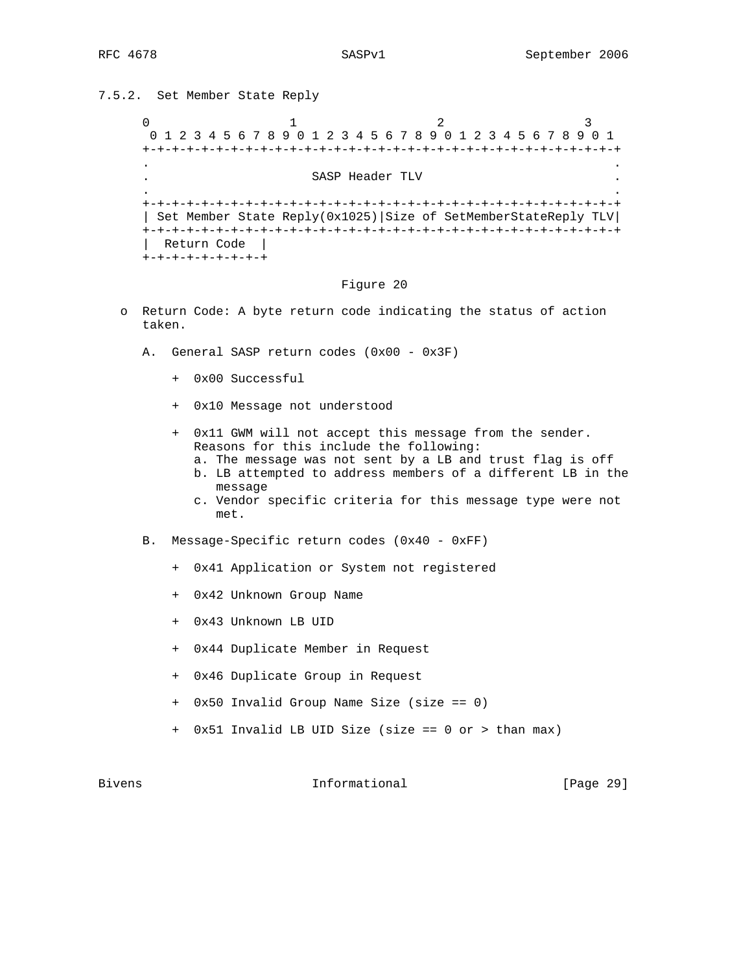# 7.5.2. Set Member State Reply

```
0 and 1 and 2 3
    0 1 2 3 4 5 6 7 8 9 0 1 2 3 4 5 6 7 8 9 0 1 2 3 4 5 6 7 8 9 0 1
    +-+-+-+-+-+-+-+-+-+-+-+-+-+-+-+-+-+-+-+-+-+-+-+-+-+-+-+-+-+-+-+-+
. .
                   SASP Header TLV
. .
    +-+-+-+-+-+-+-+-+-+-+-+-+-+-+-+-+-+-+-+-+-+-+-+-+-+-+-+-+-+-+-+-+
    | Set Member State Reply(0x1025)|Size of SetMemberStateReply TLV|
    +-+-+-+-+-+-+-+-+-+-+-+-+-+-+-+-+-+-+-+-+-+-+-+-+-+-+-+-+-+-+-+-+
     | Return Code |
   +-+-+-+-+-+-+-+-+
```
### Figure 20

- o Return Code: A byte return code indicating the status of action taken.
	- A. General SASP return codes (0x00 0x3F)
		- + 0x00 Successful
		- + 0x10 Message not understood
		- + 0x11 GWM will not accept this message from the sender. Reasons for this include the following:
			- a. The message was not sent by a LB and trust flag is off
			- b. LB attempted to address members of a different LB in the message
			- c. Vendor specific criteria for this message type were not met.
	- B. Message-Specific return codes (0x40 0xFF)
		- + 0x41 Application or System not registered
		- + 0x42 Unknown Group Name
		- + 0x43 Unknown LB UID
		- + 0x44 Duplicate Member in Request
		- + 0x46 Duplicate Group in Request
		- + 0x50 Invalid Group Name Size (size == 0)
		- + 0x51 Invalid LB UID Size (size == 0 or > than max)

Bivens **Informational Informational** [Page 29]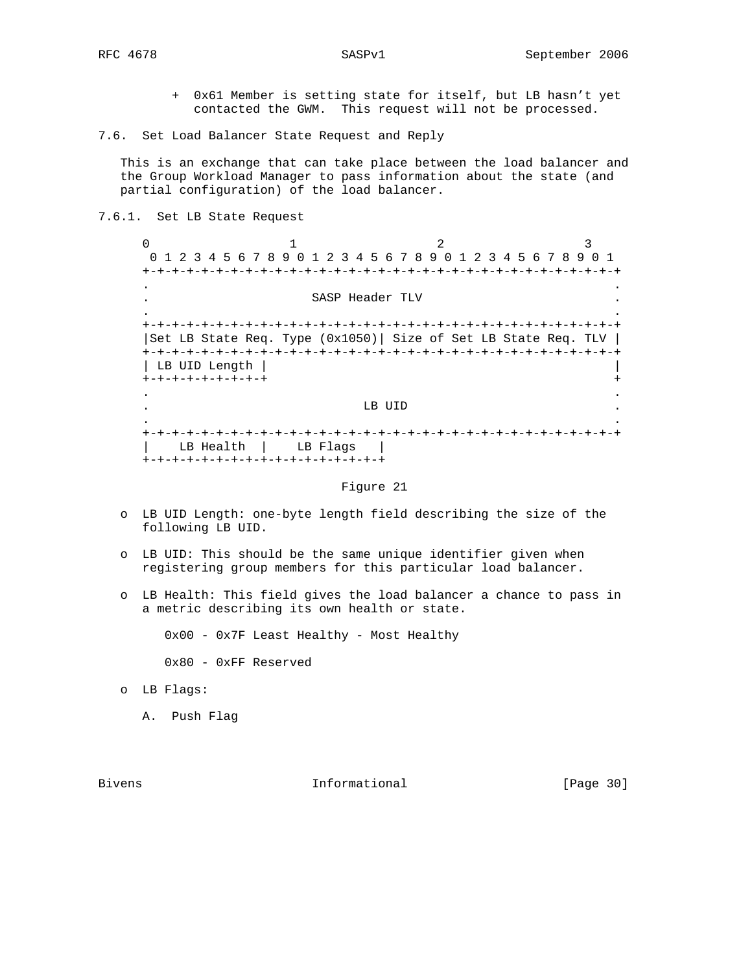- + 0x61 Member is setting state for itself, but LB hasn't yet contacted the GWM. This request will not be processed.
- 7.6. Set Load Balancer State Request and Reply

 This is an exchange that can take place between the load balancer and the Group Workload Manager to pass information about the state (and partial configuration) of the load balancer.

7.6.1. Set LB State Request

 $\begin{array}{ccccccc}\n0 & & & 1 & & & 2 & & 3\n\end{array}$  0 1 2 3 4 5 6 7 8 9 0 1 2 3 4 5 6 7 8 9 0 1 2 3 4 5 6 7 8 9 0 1 +-+-+-+-+-+-+-+-+-+-+-+-+-+-+-+-+-+-+-+-+-+-+-+-+-+-+-+-+-+-+-+-+ . . . SASP Header TLV . . . +-+-+-+-+-+-+-+-+-+-+-+-+-+-+-+-+-+-+-+-+-+-+-+-+-+-+-+-+-+-+-+-+ |Set LB State Req. Type  $(0x1050)$ | Size of Set LB State Req. TLV | +-+-+-+-+-+-+-+-+-+-+-+-+-+-+-+-+-+-+-+-+-+-+-+-+-+-+-+-+-+-+-+-+ | LB UID Length | | +-+-+-+-+-+-+-+-+ + . . . The contract of the contract of the contract of the contract of the contract of the contract of the contract of the contract of the contract of the contract of the contract of the contract of the contract of the contract . . +-+-+-+-+-+-+-+-+-+-+-+-+-+-+-+-+-+-+-+-+-+-+-+-+-+-+-+-+-+-+-+-+ | LB Health | LB Flags | +-+-+-+-+-+-+-+-+-+-+-+-+-+-+-+-+

### Figure 21

- o LB UID Length: one-byte length field describing the size of the following LB UID.
- o LB UID: This should be the same unique identifier given when registering group members for this particular load balancer.
- o LB Health: This field gives the load balancer a chance to pass in a metric describing its own health or state.

0x00 - 0x7F Least Healthy - Most Healthy

- 0x80 0xFF Reserved
- o LB Flags:
	- A. Push Flag

Bivens 10 and 10 and 10 and 10 and 10 and 10 and 10 and 10 and 10 and 10 and 10 and 10 and 10 and 10 and 10 and 10 and 10 and 10 and 10 and 10 and 10 and 10 and 10 and 10 and 10 and 10 and 10 and 10 and 10 and 10 and 10 an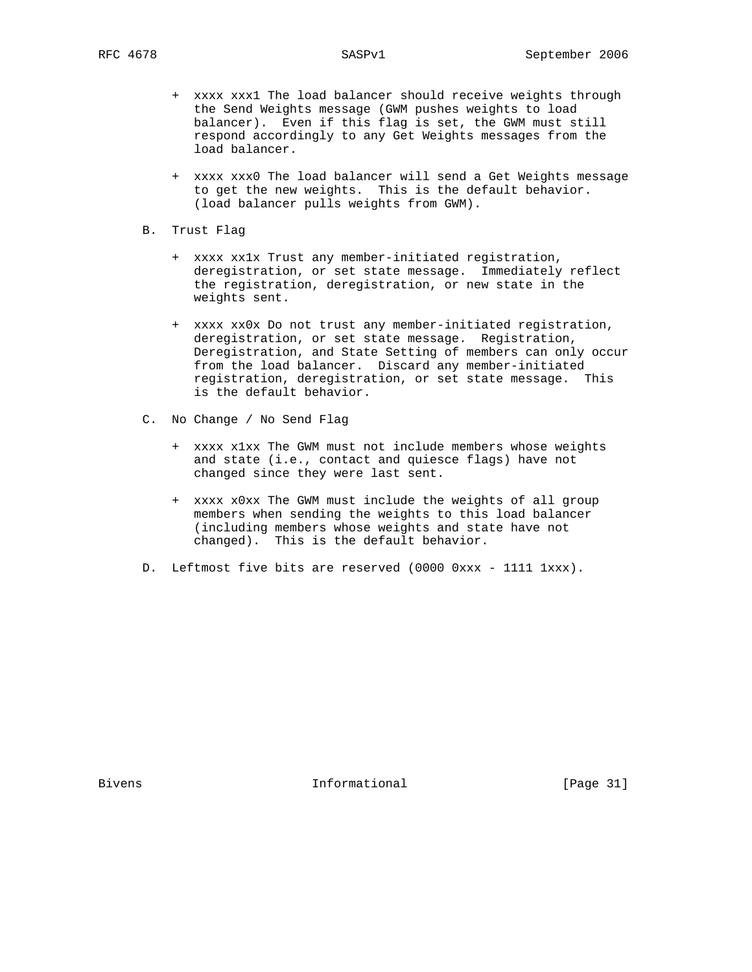- + xxxx xxx1 The load balancer should receive weights through the Send Weights message (GWM pushes weights to load balancer). Even if this flag is set, the GWM must still respond accordingly to any Get Weights messages from the load balancer.
- + xxxx xxx0 The load balancer will send a Get Weights message to get the new weights. This is the default behavior. (load balancer pulls weights from GWM).
- B. Trust Flag
	- + xxxx xx1x Trust any member-initiated registration, deregistration, or set state message. Immediately reflect the registration, deregistration, or new state in the weights sent.
	- + xxxx xx0x Do not trust any member-initiated registration, deregistration, or set state message. Registration, Deregistration, and State Setting of members can only occur from the load balancer. Discard any member-initiated registration, deregistration, or set state message. This is the default behavior.
- C. No Change / No Send Flag
	- + xxxx x1xx The GWM must not include members whose weights and state (i.e., contact and quiesce flags) have not changed since they were last sent.
	- + xxxx x0xx The GWM must include the weights of all group members when sending the weights to this load balancer (including members whose weights and state have not changed). This is the default behavior.
- D. Leftmost five bits are reserved (0000 0xxx 1111 1xxx).

Bivens **Informational Informational** [Page 31]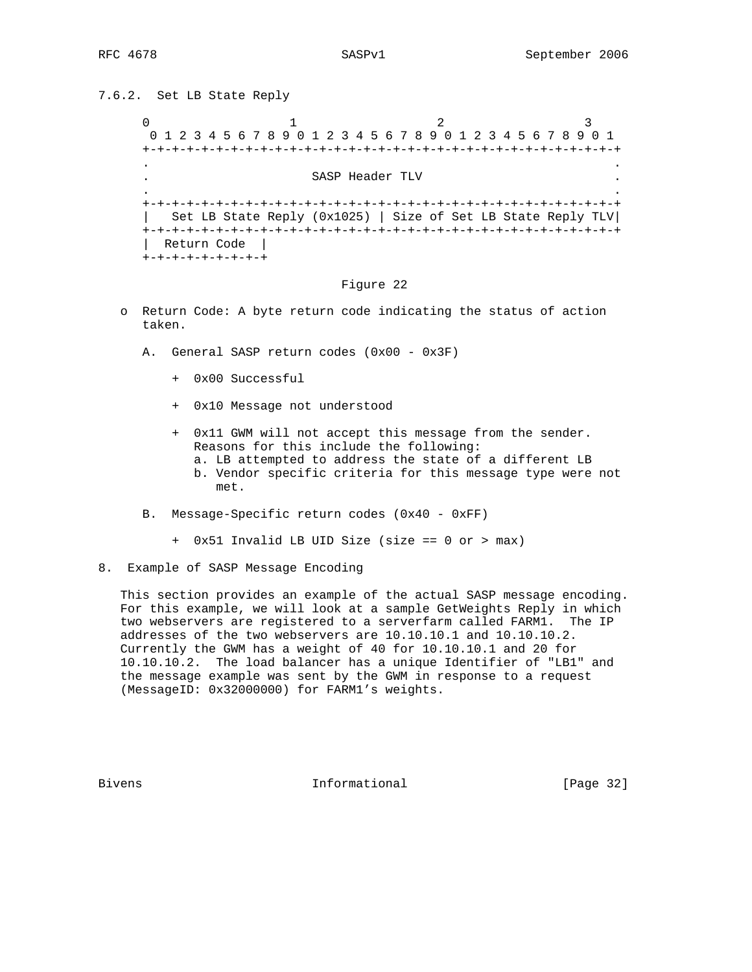# 7.6.2. Set LB State Reply

```
0 and 1 and 2 3
    0 1 2 3 4 5 6 7 8 9 0 1 2 3 4 5 6 7 8 9 0 1 2 3 4 5 6 7 8 9 0 1
    +-+-+-+-+-+-+-+-+-+-+-+-+-+-+-+-+-+-+-+-+-+-+-+-+-+-+-+-+-+-+-+-+
. .
                   SASP Header TLV
. .
    +-+-+-+-+-+-+-+-+-+-+-+-+-+-+-+-+-+-+-+-+-+-+-+-+-+-+-+-+-+-+-+-+
    | Set LB State Reply (0x1025) | Size of Set LB State Reply TLV|
    +-+-+-+-+-+-+-+-+-+-+-+-+-+-+-+-+-+-+-+-+-+-+-+-+-+-+-+-+-+-+-+-+
     | Return Code |
   +-+-+-+-+-+-+-+-+
```
### Figure 22

- o Return Code: A byte return code indicating the status of action taken.
	- A. General SASP return codes (0x00 0x3F)
		- + 0x00 Successful
		- + 0x10 Message not understood
		- + 0x11 GWM will not accept this message from the sender. Reasons for this include the following:
			- a. LB attempted to address the state of a different LB
			- b. Vendor specific criteria for this message type were not met.
	- B. Message-Specific return codes (0x40 0xFF)
		- + 0x51 Invalid LB UID Size (size == 0 or > max)
- 8. Example of SASP Message Encoding

 This section provides an example of the actual SASP message encoding. For this example, we will look at a sample GetWeights Reply in which two webservers are registered to a serverfarm called FARM1. The IP addresses of the two webservers are 10.10.10.1 and 10.10.10.2. Currently the GWM has a weight of 40 for 10.10.10.1 and 20 for 10.10.10.2. The load balancer has a unique Identifier of "LB1" and the message example was sent by the GWM in response to a request (MessageID: 0x32000000) for FARM1's weights.

Bivens 10 and 10 and 10 and 10 and 10 and 10 and 10 and 10 and 10 and 10 and 10 and 10 and 10 and 10 and 10 and 10 and 10 and 10 and 10 and 10 and 10 and 10 and 10 and 10 and 10 and 10 and 10 and 10 and 10 and 10 and 10 an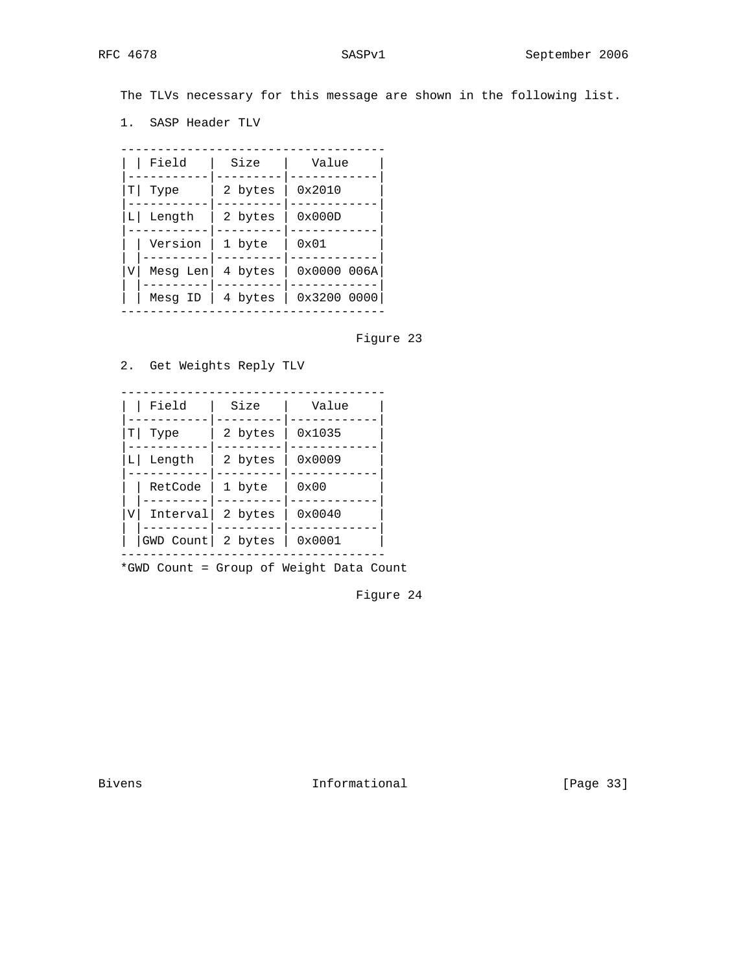The TLVs necessary for this message are shown in the following list.

1. SASP Header TLV

| Field        |          | Size    | Value          |
|--------------|----------|---------|----------------|
| Τl<br>Type   |          | 2 bytes | 0x2010         |
| Length<br>LΙ |          | 2 bytes | $0 \times 000$ |
|              | Version  | 1 byte  | 0x01           |
| V            | Mesg Len | 4 bytes | 0x00000006A    |
|              | Mesq ID  | 4 bytes | 0x32000000     |

Figure 23

2. Get Weights Reply TLV

|    | Field               | Size    | Value           |  |
|----|---------------------|---------|-----------------|--|
| Τl | Type                | 2 bytes | 0x1035          |  |
| LΙ | Length              | 2 bytes | 0x0009          |  |
| V  | RetCode             | 1 byte  | 0x00            |  |
|    | Interval            | 2 bytes | $0 \times 0040$ |  |
|    | GWD Count   2 bytes |         | 0x0001          |  |

\*GWD Count = Group of Weight Data Count

Figure 24

Bivens 1nformational [Page 33]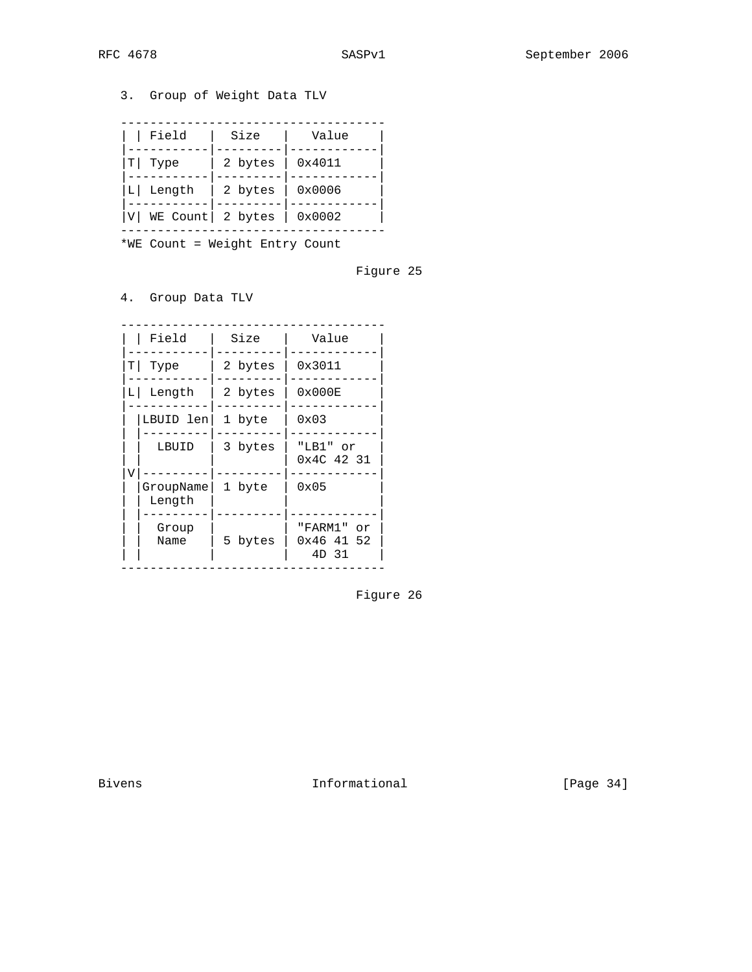# 3. Group of Weight Data TLV

| Field                       | Size    | Value  |
|-----------------------------|---------|--------|
| Type<br>т                   | 2 bytes | 0x4011 |
| Length<br>ΙI                | 2 bytes | 0x0006 |
| WE Count   2 bytes<br>l v l |         | 0x0002 |

\*WE Count = Weight Entry Count

# Figure 25

4. Group Data TLV

| Field                    | Size    | Value                                |
|--------------------------|---------|--------------------------------------|
| Τl<br>Type               | 2 bytes | 0x3011                               |
| Length<br>LΙ             | 2 bytes | $0 \times 000E$                      |
| LBUID len                | 1 byte  | 0x03                                 |
| LBUID                    | 3 bytes | "LB1" or<br>0x4C 42 31               |
| V<br>GroupName<br>Length | 1 byte  | 0x05                                 |
| Group<br>Name            | 5 bytes | "FARM1"<br>or<br>0x46 41 52<br>4D 31 |

Figure 26

Bivens 100 and 100 and 100 and 100 and 100 and 100 and 100 and 100 and 100 and 100 and 100 and 100 and 100 and 100 and 100 and 100 and 100 and 100 and 100 and 100 and 100 and 100 and 100 and 100 and 100 and 100 and 100 and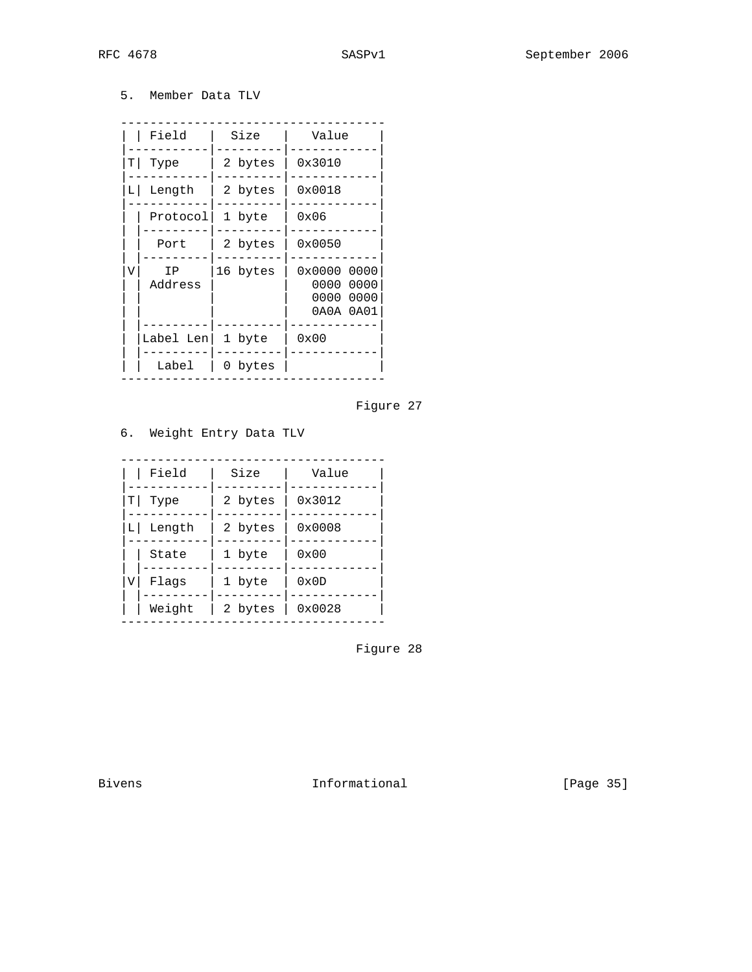5. Member Data TLV

| Field |               | Size     | Value                                                       |
|-------|---------------|----------|-------------------------------------------------------------|
| ΤI    | Type          | 2 bytes  | 0x3010                                                      |
| LΙ    | Length        | 2 bytes  | 0x0018                                                      |
|       | Protocol      | 1 byte   | 0x06                                                        |
|       | Port          | 2 bytes  | 0x0050                                                      |
| V     | ΙP<br>Address | 16 bytes | 0x0000<br>0000<br>0000<br>0000<br>0000<br>0000<br>0A0A 0A01 |
|       | Label Len     | 1 byte   | 0x00                                                        |
|       | Label         | 0 bytes  |                                                             |



# 6. Weight Entry Data TLV

| Field<br>ΤI<br>Type |        | Size    | Value           |
|---------------------|--------|---------|-----------------|
|                     |        | 2 bytes | 0x3012          |
| LΙ                  | Length | 2 bytes | $0 \times 0008$ |
|                     | State  | 1 byte  | $0 \times 00$   |
| V                   | Flaqs  | 1 byte  | 0x0D            |
|                     | Weight | 2 bytes | 0x0028          |

Figure 28

Bivens 1nformational [Page 35]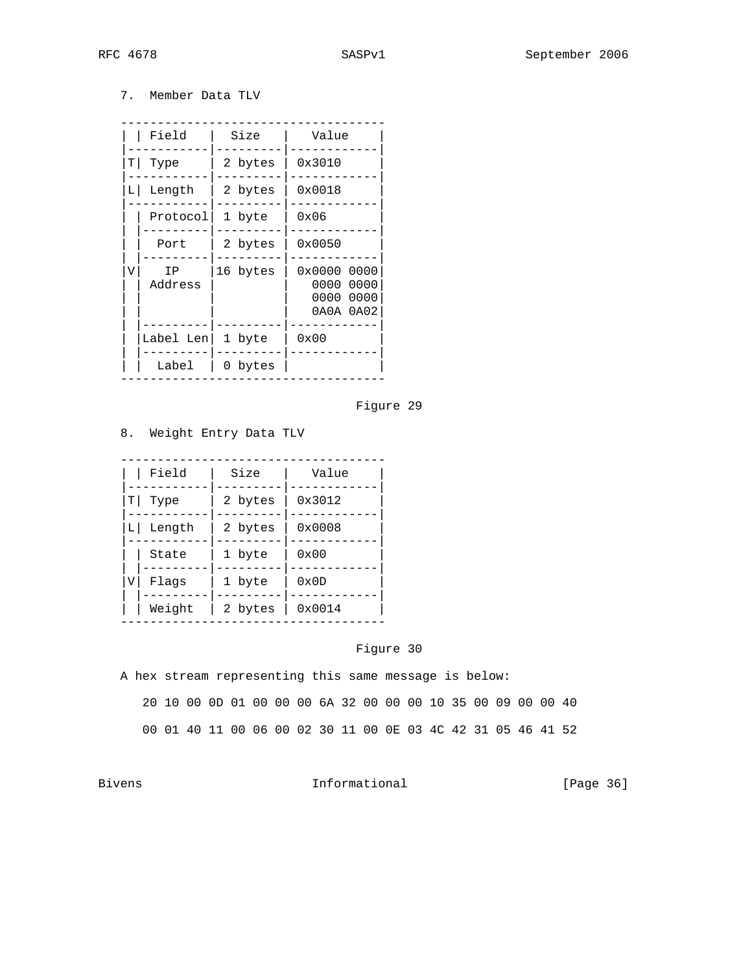7. Member Data TLV

| Field |               | Size     | Value                                                       |
|-------|---------------|----------|-------------------------------------------------------------|
| ΤI    | Type          | 2 bytes  | 0x3010                                                      |
| LΙ    | Length        | 2 bytes  | 0x0018                                                      |
|       | Protocol      | 1 byte   | 0x06                                                        |
|       | Port          | 2 bytes  | 0x0050                                                      |
| V     | ΙP<br>Address | 16 bytes | 0x0000<br>0000<br>0000<br>0000<br>0000<br>0000<br>0A0A 0A02 |
|       | Label Len     | 1 byte   | 0x00                                                        |
|       | Label         | 0 bytes  |                                                             |

# Figure 29

# 8. Weight Entry Data TLV

| Field<br>Τl<br>Type |        | Size    | Value           |
|---------------------|--------|---------|-----------------|
|                     |        | 2 bytes | 0x3012          |
| Length<br>L         |        | 2 bytes | $0 \times 0008$ |
|                     | State  | 1 byte  | $0 \times 00$   |
| V                   | Flaqs  | 1 byte  | 0x0D            |
|                     | Weight | 2 bytes | 0x0014          |

# Figure 30

A hex stream representing this same message is below:

20 10 00 0D 01 00 00 00 6A 32 00 00 00 10 35 00 09 00 00 40

00 01 40 11 00 06 00 02 30 11 00 0E 03 4C 42 31 05 46 41 52

Bivens 10 mm informational Theorem Informational [Page 36]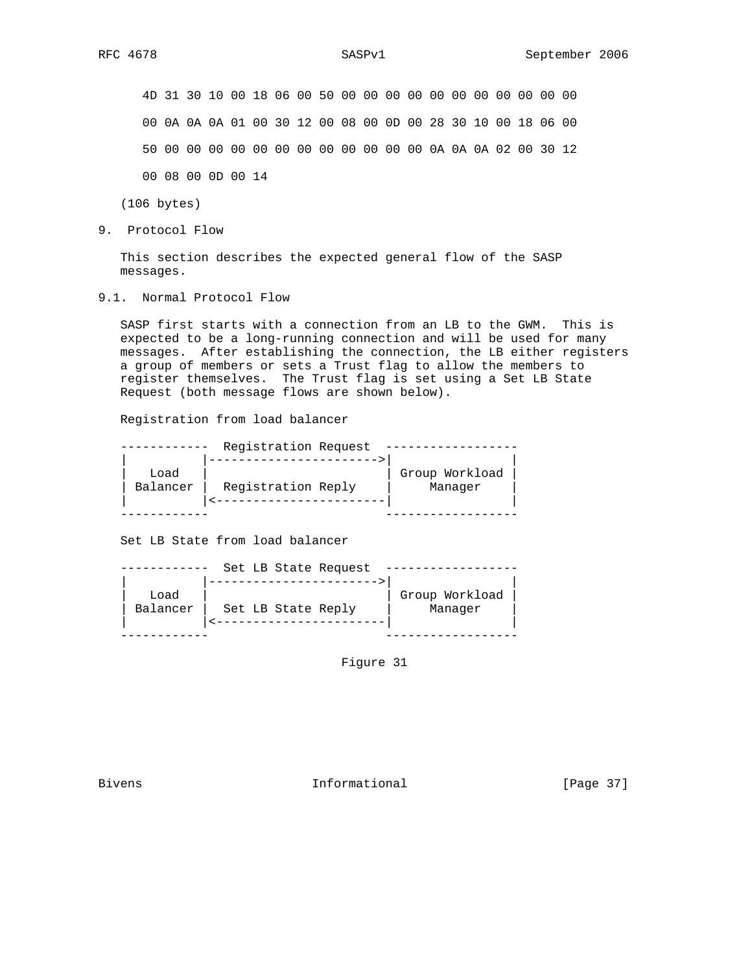4D 31 30 10 00 18 06 00 50 00 00 00 00 00 00 00 00 00 00 00 00 0A 0A 0A 01 00 30 12 00 08 00 0D 00 28 30 10 00 18 06 00 50 00 00 00 00 00 00 00 00 00 00 00 00 0A 0A 0A 02 00 30 12 00 08 00 0D 00 14

(106 bytes)

9. Protocol Flow

 This section describes the expected general flow of the SASP messages.

9.1. Normal Protocol Flow

 SASP first starts with a connection from an LB to the GWM. This is expected to be a long-running connection and will be used for many messages. After establishing the connection, the LB either registers a group of members or sets a Trust flag to allow the members to register themselves. The Trust flag is set using a Set LB State Request (both message flows are shown below).

Registration from load balancer

|                  | Registration Request |                           |  |
|------------------|----------------------|---------------------------|--|
| Load<br>Balancer | Registration Reply   | Group Workload<br>Manager |  |
|                  |                      |                           |  |

Set LB State from load balancer

|                  | Set LB State Request |                           |  |
|------------------|----------------------|---------------------------|--|
| Load<br>Balancer | Set LB State Reply   | Group Workload<br>Manager |  |
|                  |                      |                           |  |

Figure 31

Bivens 10 and 10 and 10 and 11 and 11 and 12 and 12 and 12 and 12 and 12 and 12 and 12 and 12 and 12 and 12 and 12 and 12 and 12 and 12 and 12 and 12 and 12 and 12 and 12 and 12 and 12 and 12 and 12 and 12 and 12 and 12 an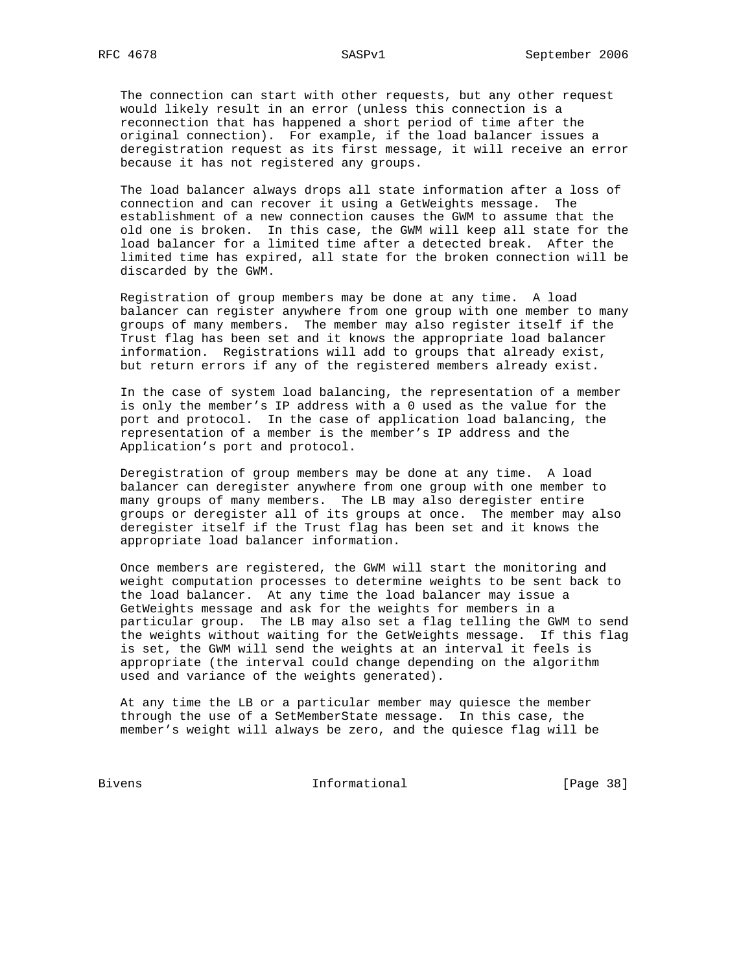The connection can start with other requests, but any other request would likely result in an error (unless this connection is a reconnection that has happened a short period of time after the original connection). For example, if the load balancer issues a deregistration request as its first message, it will receive an error because it has not registered any groups.

 The load balancer always drops all state information after a loss of connection and can recover it using a GetWeights message. The establishment of a new connection causes the GWM to assume that the old one is broken. In this case, the GWM will keep all state for the load balancer for a limited time after a detected break. After the limited time has expired, all state for the broken connection will be discarded by the GWM.

 Registration of group members may be done at any time. A load balancer can register anywhere from one group with one member to many groups of many members. The member may also register itself if the Trust flag has been set and it knows the appropriate load balancer information. Registrations will add to groups that already exist, but return errors if any of the registered members already exist.

 In the case of system load balancing, the representation of a member is only the member's IP address with a 0 used as the value for the port and protocol. In the case of application load balancing, the representation of a member is the member's IP address and the Application's port and protocol.

 Deregistration of group members may be done at any time. A load balancer can deregister anywhere from one group with one member to many groups of many members. The LB may also deregister entire groups or deregister all of its groups at once. The member may also deregister itself if the Trust flag has been set and it knows the appropriate load balancer information.

 Once members are registered, the GWM will start the monitoring and weight computation processes to determine weights to be sent back to the load balancer. At any time the load balancer may issue a GetWeights message and ask for the weights for members in a particular group. The LB may also set a flag telling the GWM to send the weights without waiting for the GetWeights message. If this flag is set, the GWM will send the weights at an interval it feels is appropriate (the interval could change depending on the algorithm used and variance of the weights generated).

 At any time the LB or a particular member may quiesce the member through the use of a SetMemberState message. In this case, the member's weight will always be zero, and the quiesce flag will be

Bivens 1nformational [Page 38]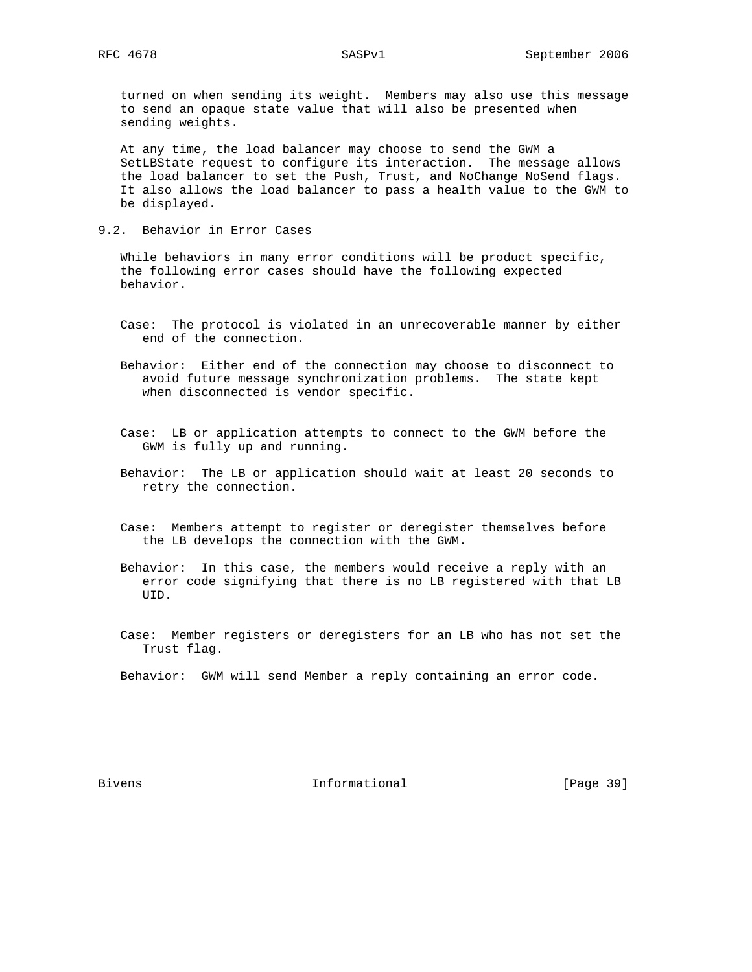turned on when sending its weight. Members may also use this message to send an opaque state value that will also be presented when sending weights.

 At any time, the load balancer may choose to send the GWM a SetLBState request to configure its interaction. The message allows the load balancer to set the Push, Trust, and NoChange\_NoSend flags. It also allows the load balancer to pass a health value to the GWM to be displayed.

9.2. Behavior in Error Cases

 While behaviors in many error conditions will be product specific, the following error cases should have the following expected behavior.

- Case: The protocol is violated in an unrecoverable manner by either end of the connection.
- Behavior: Either end of the connection may choose to disconnect to avoid future message synchronization problems. The state kept when disconnected is vendor specific.
- Case: LB or application attempts to connect to the GWM before the GWM is fully up and running.
- Behavior: The LB or application should wait at least 20 seconds to retry the connection.
- Case: Members attempt to register or deregister themselves before the LB develops the connection with the GWM.
- Behavior: In this case, the members would receive a reply with an error code signifying that there is no LB registered with that LB UID.
- Case: Member registers or deregisters for an LB who has not set the Trust flag.

Behavior: GWM will send Member a reply containing an error code.

Bivens 10 and 10 and 10 and 10 and 10 and 10 and 10 and 10 and 10 and 10 and 10 and 10 and 10 and 10 and 10 and 10 and 10 and 10 and 10 and 10 and 10 and 10 and 10 and 10 and 10 and 10 and 10 and 10 and 10 and 10 and 10 an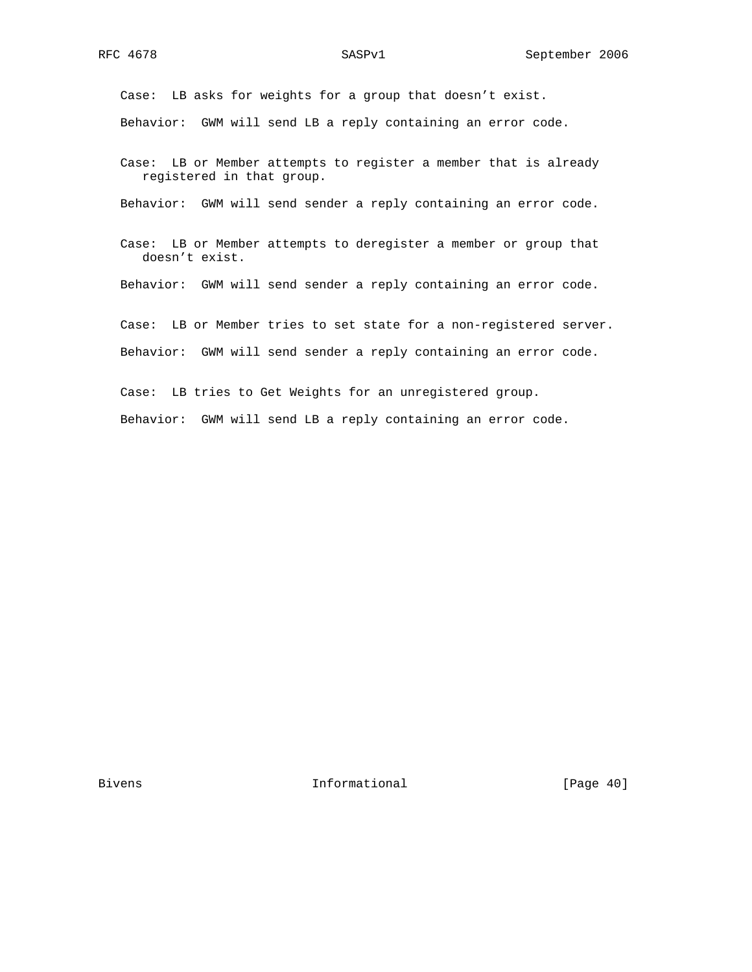Case: LB asks for weights for a group that doesn't exist. Behavior: GWM will send LB a reply containing an error code.

 Case: LB or Member attempts to register a member that is already registered in that group.

Behavior: GWM will send sender a reply containing an error code.

 Case: LB or Member attempts to deregister a member or group that doesn't exist.

Behavior: GWM will send sender a reply containing an error code.

 Case: LB or Member tries to set state for a non-registered server. Behavior: GWM will send sender a reply containing an error code.

 Case: LB tries to Get Weights for an unregistered group. Behavior: GWM will send LB a reply containing an error code.

Bivens 1nformational [Page 40]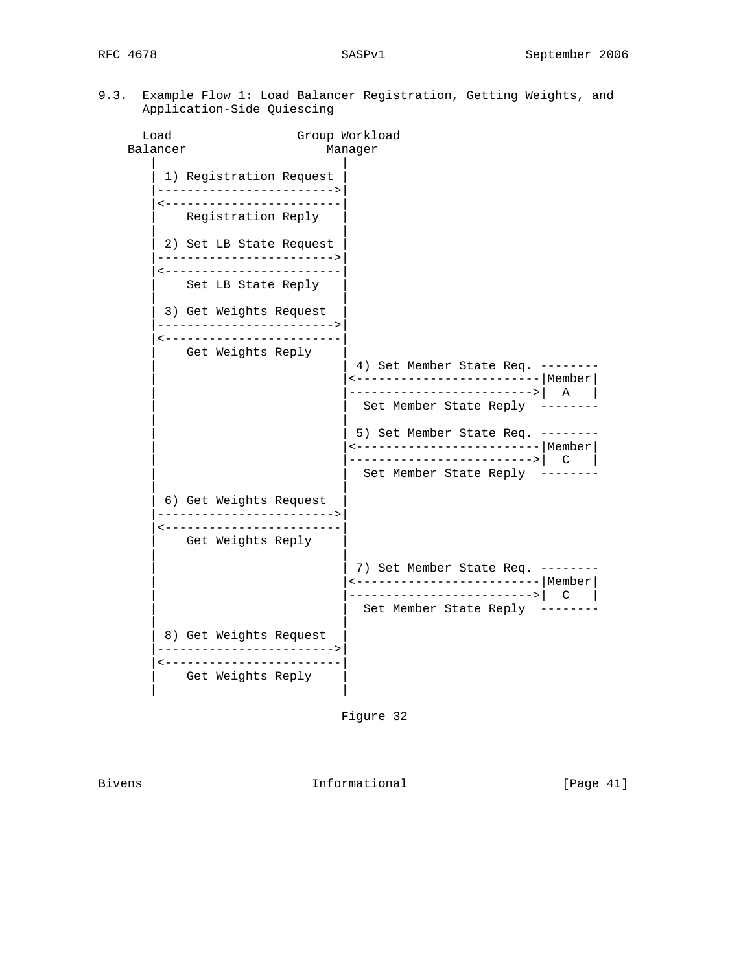Load Group Workload Balancer Manager | | 1) Registration Request |------------------------>| |<------------------------| | Registration Reply | | | 2) Set LB State Request |------------------------>| |<------------------------| Set LB State Reply | | 3) Get Weights Request |------------------------>| |<------------------------| Get Weights Reply 4) Set Member State Req. -------- | |<-------------------------|Member| ------------------------>| A | Set Member State Reply -------- | | 5) Set Member State Req. -------- | |<-------------------------|Member| | |------------------------->| C | Set Member State Reply -------- | | | 6) Get Weights Request | |------------------------>| |<------------------------| Get Weights Reply | | 7) Set Member State Req. -------- | |<-------------------------|Member| | |------------------------->| C | Set Member State Reply -------- | | 8) Get Weights Request |------------------------>| |<------------------------| Get Weights Reply | |

Figure 32

Bivens **Informational Informational** [Page 41]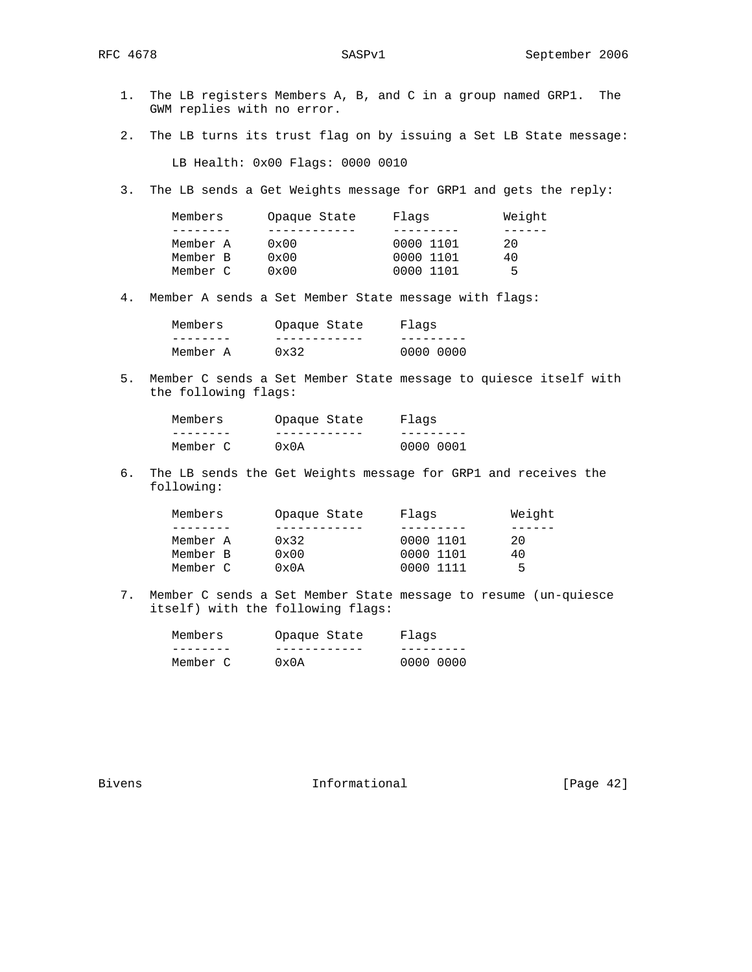1. The LB registers Members A, B, and C in a group named GRP1. The GWM replies with no error. 2. The LB turns its trust flag on by issuing a Set LB State message: LB Health: 0x00 Flags: 0000 0010 3. The LB sends a Get Weights message for GRP1 and gets the reply: Members Opaque State Flags Weight<br>-------- ----------- --------- ------ -------- ------------ --------- ------ Member A 0x00 0000 1101 20 Member B 0x00 0000 1101 40 Member C 0x00 0000 1101 5 4. Member A sends a Set Member State message with flags:

| Members  | Opaque State  | Flaqs |           |
|----------|---------------|-------|-----------|
|          |               |       |           |
| Member A | $0 \times 32$ |       | 0000 0000 |

 5. Member C sends a Set Member State message to quiesce itself with the following flags:

| Members  | Opaque State   | Flaqs     |
|----------|----------------|-----------|
|          |                |           |
| Member C | $0 \times 0 A$ | 0000 0001 |

 6. The LB sends the Get Weights message for GRP1 and receives the following:

| Members<br>Flaqs<br>Opaque State              | Weight |
|-----------------------------------------------|--------|
|                                               |        |
| 0000 1101<br>Member A<br>$0 \times 32$        | 20     |
| Member B<br>$0 \times 00$<br>0000 1101        | 40     |
| Member C<br>$0 \times 0 \lambda$<br>0000 1111 | Б.     |

 7. Member C sends a Set Member State message to resume (un-quiesce itself) with the following flags:

| Members  | Opaque State   | Flaqs     |
|----------|----------------|-----------|
|          |                |           |
| Member C | $0 \times 0$ A | 0000 0000 |

Bivens **Informational Informational** [Page 42]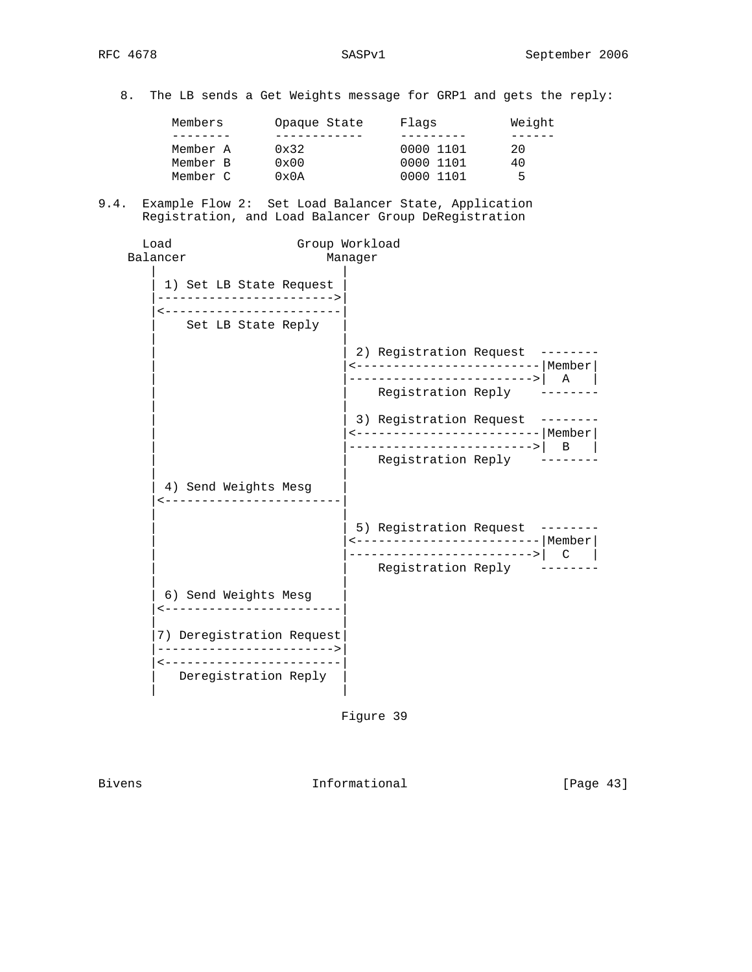8. The LB sends a Get Weights message for GRP1 and gets the reply:

| Members  | Opaque State  | Flaqs     | Weight |
|----------|---------------|-----------|--------|
|          |               |           |        |
| Member A | $0 \times 32$ | 0000 1101 | 20     |
| Member B | $0 \times 00$ | 0000 1101 | 40     |
| Member C | 0x0A          | 0000 1101 | ᄃ      |

9.4. Example Flow 2: Set Load Balancer State, Application Registration, and Load Balancer Group DeRegistration

```
 Load Group Workload
 Balancer Manager
| |
     1) Set LB State Request
      |------------------------>|
      |<------------------------|
       Set LB State Reply
| |
                        2) Registration Request --------
                         | |<-------------------------|Member|
                        -------------------------->| A |
                          Registration Reply --------
| |
                        3) Registration Request --------
                         | |<-------------------------|Member|
                        ------------------------->| B |
                           Registration Reply --------
| |
     4) Send Weights Mesg
     |<------------------------|
| |
                        5) Registration Request --------
                         | |<-------------------------|Member|
                        ------------------------->| C |
                          Registration Reply --------
| |
     6) Send Weights Mesg
      |<------------------------|
| |
      |7) Deregistration Request|
      |------------------------>|
     |<------------------------|
      Deregistration Reply
| |
```
Figure 39

Bivens 10 and 10 and 10 and 10 and 10 and 10 and 10 and 10 and 10 and 10 and 10 and 10 and 10 and 10 and 10 and 10 and 10 and 10 and 10 and 10 and 10 and 10 and 10 and 10 and 10 and 10 and 10 and 10 and 10 and 10 and 10 an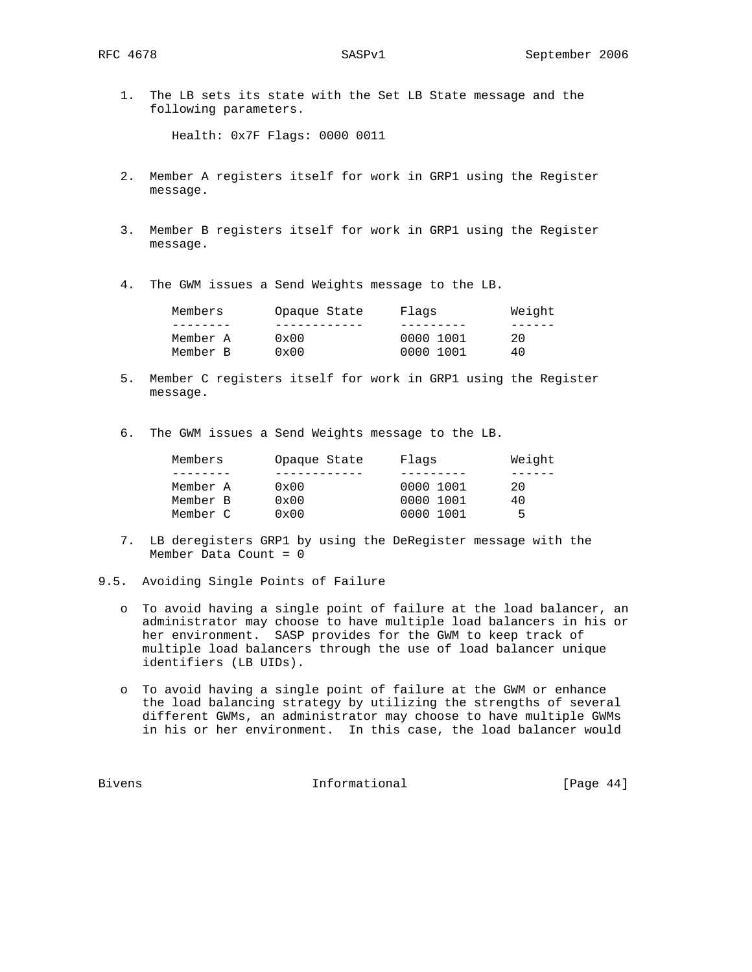1. The LB sets its state with the Set LB State message and the following parameters.

Health: 0x7F Flags: 0000 0011

- 2. Member A registers itself for work in GRP1 using the Register message.
- 3. Member B registers itself for work in GRP1 using the Register message.
- 4. The GWM issues a Send Weights message to the LB.

| Members  | Opaque State  | Flags     | Weight |
|----------|---------------|-----------|--------|
|          |               |           |        |
| Member A | $0 \times 00$ | 0000 1001 | 20     |
| Member B | $0 \times 00$ | 0000 1001 | 40     |

- 5. Member C registers itself for work in GRP1 using the Register message.
- 6. The GWM issues a Send Weights message to the LB.

| Members  | Opaque State  | Flags     | Weight |  |
|----------|---------------|-----------|--------|--|
|          |               |           |        |  |
| Member A | $0 \times 00$ | 0000 1001 | 20     |  |
| Member B | $0 \times 00$ | 0000 1001 | 40     |  |
| Member C | $0 \times 00$ | 0000 1001 | 5      |  |

- 7. LB deregisters GRP1 by using the DeRegister message with the Member Data Count = 0
- 9.5. Avoiding Single Points of Failure
	- o To avoid having a single point of failure at the load balancer, an administrator may choose to have multiple load balancers in his or her environment. SASP provides for the GWM to keep track of multiple load balancers through the use of load balancer unique identifiers (LB UIDs).
	- o To avoid having a single point of failure at the GWM or enhance the load balancing strategy by utilizing the strengths of several different GWMs, an administrator may choose to have multiple GWMs in his or her environment. In this case, the load balancer would

Bivens **Informational Informational** [Page 44]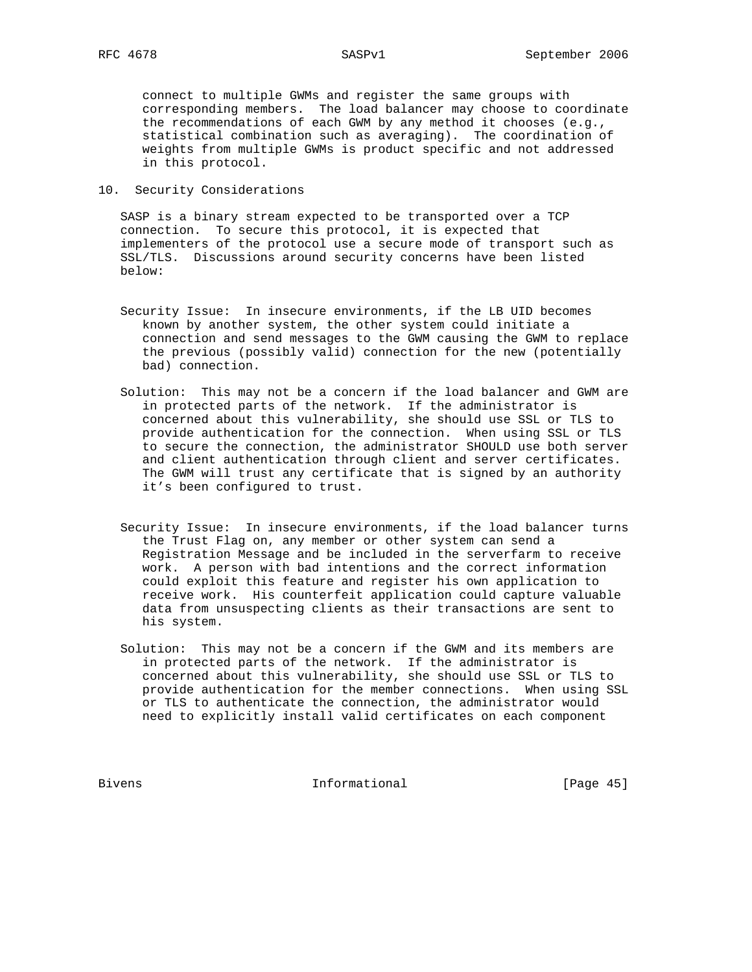connect to multiple GWMs and register the same groups with corresponding members. The load balancer may choose to coordinate the recommendations of each GWM by any method it chooses (e.g., statistical combination such as averaging). The coordination of weights from multiple GWMs is product specific and not addressed in this protocol.

10. Security Considerations

 SASP is a binary stream expected to be transported over a TCP connection. To secure this protocol, it is expected that implementers of the protocol use a secure mode of transport such as SSL/TLS. Discussions around security concerns have been listed below:

- Security Issue: In insecure environments, if the LB UID becomes known by another system, the other system could initiate a connection and send messages to the GWM causing the GWM to replace the previous (possibly valid) connection for the new (potentially bad) connection.
- Solution: This may not be a concern if the load balancer and GWM are in protected parts of the network. If the administrator is concerned about this vulnerability, she should use SSL or TLS to provide authentication for the connection. When using SSL or TLS to secure the connection, the administrator SHOULD use both server and client authentication through client and server certificates. The GWM will trust any certificate that is signed by an authority it's been configured to trust.
- Security Issue: In insecure environments, if the load balancer turns the Trust Flag on, any member or other system can send a Registration Message and be included in the serverfarm to receive work. A person with bad intentions and the correct information could exploit this feature and register his own application to receive work. His counterfeit application could capture valuable data from unsuspecting clients as their transactions are sent to his system.
- Solution: This may not be a concern if the GWM and its members are in protected parts of the network. If the administrator is concerned about this vulnerability, she should use SSL or TLS to provide authentication for the member connections. When using SSL or TLS to authenticate the connection, the administrator would need to explicitly install valid certificates on each component

Bivens 1nformational [Page 45]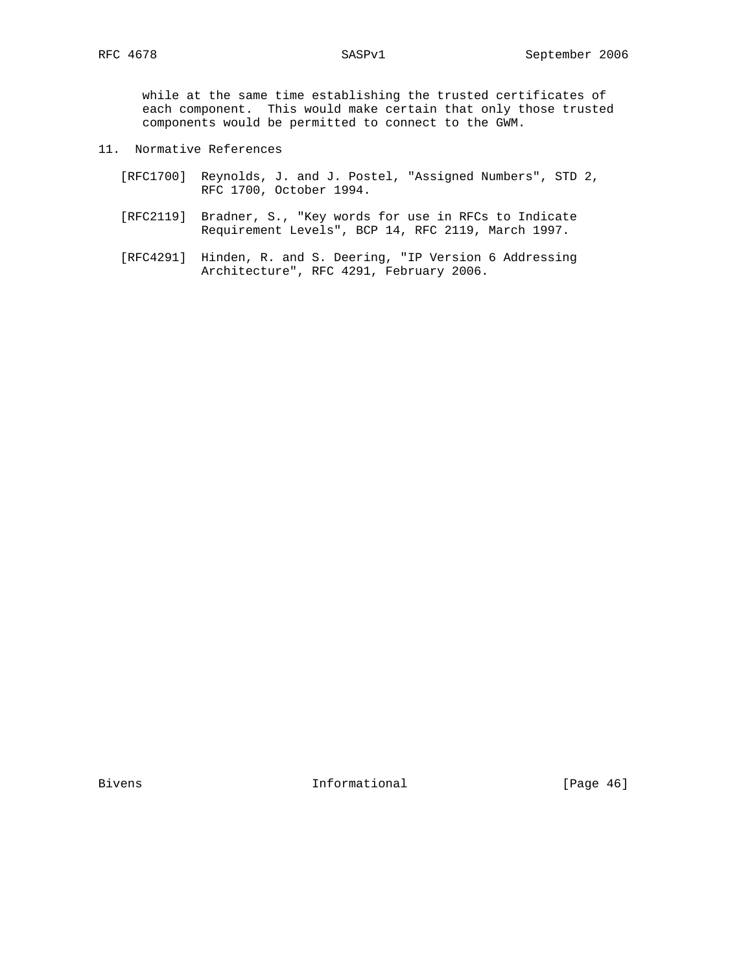while at the same time establishing the trusted certificates of each component. This would make certain that only those trusted components would be permitted to connect to the GWM.

- 11. Normative References
	- [RFC1700] Reynolds, J. and J. Postel, "Assigned Numbers", STD 2, RFC 1700, October 1994.
	- [RFC2119] Bradner, S., "Key words for use in RFCs to Indicate Requirement Levels", BCP 14, RFC 2119, March 1997.
	- [RFC4291] Hinden, R. and S. Deering, "IP Version 6 Addressing Architecture", RFC 4291, February 2006.

Bivens 1nformational [Page 46]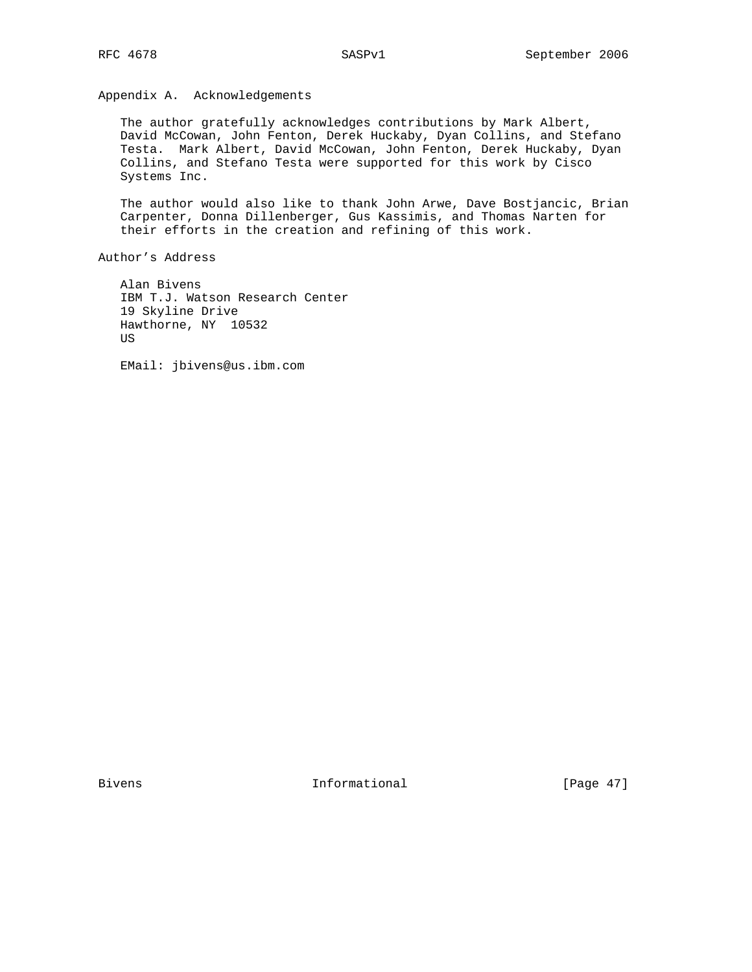Appendix A. Acknowledgements

 The author gratefully acknowledges contributions by Mark Albert, David McCowan, John Fenton, Derek Huckaby, Dyan Collins, and Stefano Testa. Mark Albert, David McCowan, John Fenton, Derek Huckaby, Dyan Collins, and Stefano Testa were supported for this work by Cisco Systems Inc.

 The author would also like to thank John Arwe, Dave Bostjancic, Brian Carpenter, Donna Dillenberger, Gus Kassimis, and Thomas Narten for their efforts in the creation and refining of this work.

Author's Address

 Alan Bivens IBM T.J. Watson Research Center 19 Skyline Drive Hawthorne, NY 10532 US

EMail: jbivens@us.ibm.com

Bivens 1nformational [Page 47]